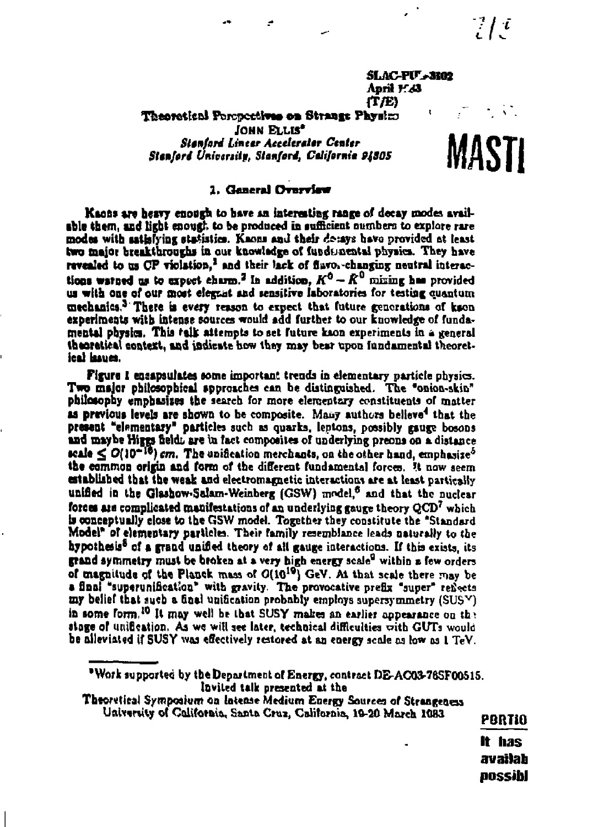$\frac{1}{\epsilon}$  /  $\frac{1}{\epsilon}$ 

**SLAC-PU-3102** April 1:23 (TÆ)

Theoretical Poroportives on Strange Physics

JOHN ELLIS<sup>®</sup> Stanford Linear Accelerator Center Stanford University, Stanford, California 94805

# MASTI

#### 1. General Overview

Kaons are heavy enough to have an interesting range of decay modes available them, and light enough to be produced in sufficient numbers to explore rare modes with satisfying statistics. Kaons and their do:ays have provided at least two major breakthroughs in our knowledge of fundmental physics. They have revealed to us CP violation,<sup>1</sup> and their lack of flavos-changing neutral interactions waterd us to expect charm.<sup>2</sup> In addition,  $K^0 - \bar{K}^0$  mixing has provided us with one of our most elegant and sensitive inhoratories for testing quantum mechanics.<sup>3</sup> There is every reason to expect that future genorations of kson experiments with intense sources would add further to our knowledge of fundamental physics. This talk attempts to set future kaon experiments in a general theoretical context, and indicate how they may bear upon fundamental theoretical haues.

Figure 1 encapsulates some important trends in elementary particle physics. Two major philosophical approaches can be distinguished. The "onion-skin" philosophy emphasizes the search for more elementary constituents of matter as previous levels are shown to be composite. Many authors believe<sup>4</sup> that the present "elementary" particles such as quarks, leptons, possibly gauge bosons and maybe Higgs field, are in fact composites of underlying preons on a distance scale  $\leq$   $O(10^{-16})$  cm. The unification merchants, on the other hand, emphasize<sup>5</sup> the common origin and form of the different fundamental forces. It now seem established that the weak and electromagnetic interactions are at least partically unified in the Glashow-Salam-Weinberg (GSW) model,<sup>6</sup> and that the nuclear forces are complicated manifestations of an underlying gauge theory  $QCD<sup>7</sup>$  which is conceptually close to the GSW model. Together they constitute the "Standard Model<sup>a</sup> of elementary particles. Their family resemblance leads naturally to the hypothesis<sup>8</sup> of a grand unified theory of all gauge interactions. If this exists, its grand symmetry must be broken at a very high energy scale<sup>9</sup> within a few orders of magnitude of the Planck mass of O(10<sup>10</sup>) GeV. At that scale there may be a final "superunification" with gravity. The provocative prefix "super" reflects  $\pi y$  belief that sueb a final unification probably employs supersymmetry (SUS $\vee$ ) in some form.<sup>10</sup> It may well be that SUSY makes an earlier appearance on the singe of unification. As we will see later, technical difficulties with GUTs would be alleviated if SUSY was effectively restored at an energy scale as low as 1 TeV.

"Work supported by the Department of Energy, contract DE-AC03-76SF00515. luvited talk presented at the

Theoretical Symposium on latense Medium Energy Sources of Strangeness University of Colifornia, Santa Cruz, California, 19-20 March 1083

PORTIO It has

availah possibl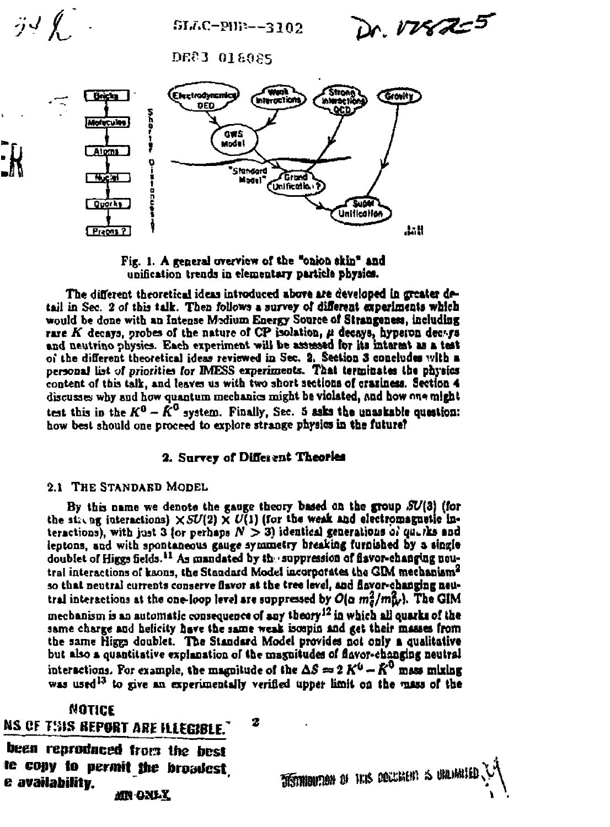SLAC-PHE--3102

n, VVE AZ <sup>5</sup>

**DEC3 018085** 



Fig. 1. A general overview of the "onion skin" and unification trends in elementary particle physics.

The different theoretical ideas introduced above are developed in greater detail in Sec. 2 of this talk. Then follows a survey of different experiments which would be done with an Intense Medium Energy Source of Strangeness, including rare K decays, probes of the nature of CP isolation,  $\mu$  decays, hyperon decays and neutrino physics. Each experiment will be assessed for its interest as a test of the different theoretical ideas reviewed in Sec. 2. Section 3 concludes with a personal list of priorities for IMESS experiments. That terminates the physics content of this talk, and leaves us with two short sections of craziness. Section 4 discusses why and how quantum mechanics might be violated, and how one might test this in the  $K^0 - \hat{K}^0$  system. Finally, Sec. 5 asks the unaskable question: how best should one proceed to explore strange physics in the future?

# 2. Survey of Different Theories

# 2.1 THE STANDARD MODEL

 $\tilde{j}$  $J$   $\oint$ 

By this name we denote the gauge theory based on the group  $SU(3)$  (for the single interactions)  $\times SU(2) \times U(1)$  (for the weak and electromagnetic interactions), with just 3 for perhaps  $N > 3$ ) identical generations of quarks and leptons, and with spontaneous gauge symmetry breaking furnished by a single doublet of Higgs fields.<sup>11</sup> As mandated by the suppression of flavor-changing neutral interactions of kaons, the Standard Model incorporates the GDM mechanism<sup>2</sup> so that neutral currents conserve flavor at the tree level, and flavor-changing neutral interactions at the one-loop level are suppressed by  $O(\alpha m_d^2/m_W^2)$ . The GIM mechanism is an automatic consequence of any theory<sup>12</sup> in which all quarks of the same charge and helicity have the same weak isospin and get their masses from the same Higgs doublet. The Standard Model provides not only a qualitative but also a quantitative explanation of the magnitudes of flavor-changing neutral interactions. For example, the magnitude of the  $\Delta S \approx 2 K^0 - K^0$  mass mixing was used<sup>13</sup> to give an experimentally verified upper limit on the mass of the

7

# NOTICE

# **NS OF THIS REPORT ARE HLEGIBLE.**

been reproduced from the best te copy to permit the broadest e availability. MN ONLY

TETHIOUTION OF HUS OCCURENT IS UNLIMITE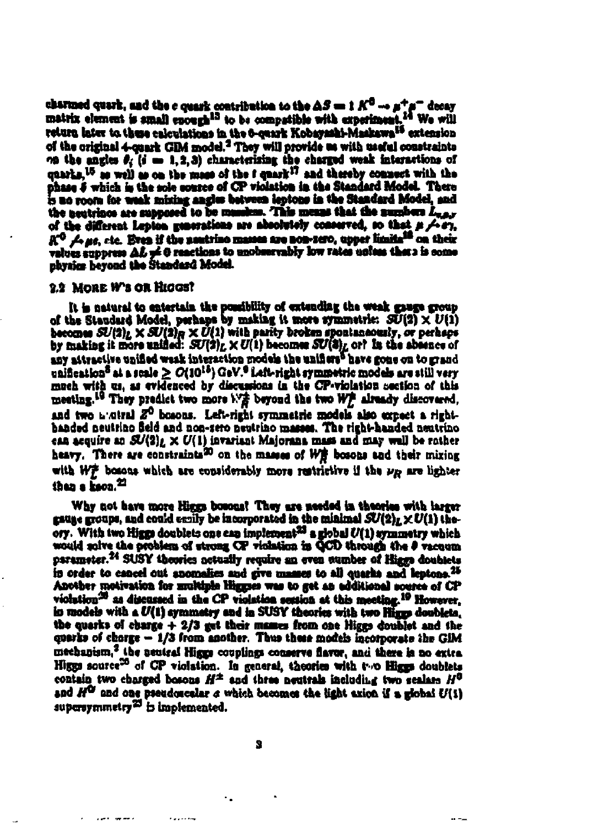charmed quark, and the c quark contribution to the  $\Delta S = 1 K^0 \rightarrow \mu^+ \mu^-$  decay matrix element is small enough<sup>13</sup> to be compatible with experiment,<sup>14</sup> We will return later to these calculations in the 6-centr Kobayashi-Maskawa<sup>15</sup> extension of the original 4-quark GDA model.<sup>2</sup> They will provide as with usaful constraints on the angles  $\theta_i$  (i = 1, 2, 3) characterizing the charged weak interactions of quarks, <sup>15</sup> as well as on the mass of the *t* quark<sup>17</sup> and thereby connect with the phase 5 which is the sole course of CP violation in the Standard Model. There is no room for weak mixing angles between leptons in the Standard Model, and the neutrinos are supposed to be members. This means that the numbers L.a.s of the different Lepton generations are absolutely conserved, so that # A-87, R<sup>O</sup> Aus, etc. Even if the neutrino masses are non-zero, upper limita<sup>18</sup> on their values suppress AL pe 0 reactions to unobservably fow rates unless that a is come physics beyond the Standard Model.

#### 2.2 MORE W's OR HIGGST

It is natural to entertain the possibility of extending the weak grage group of the Staudard Model, perhaps by making it more symmetric:  $SU(2) \times U(1)$ <br>becomes  $SU(2)_L \times SU(2)_R \times U(1)$  with parity broken spontaneously, or perhaps by making it more unified:  $SU(2)_L \times U(1)$  becomes  $SU(3)_L$  or? In the absence of any attractive unified weak interaction models the unifiers have gone on to grand unification<sup>8</sup> at a scale  $\geq O(10^{18})$  GeV.<sup>6</sup> Left-right symmetric models are still very much with us, as evidenced by discussions in the CP-violation section of this meeting.<sup>10</sup> They predict two more W<sup>2</sup> beyond the two W2 already discovered, and two a otral 2<sup>0</sup> bosons. Left-right symmetric models also expect a righthanded neutrino field and non-zero neutrino masses. The right-handed neutrino can acquire an  $SU(2)_L \times U(1)$  invariant Majorana mass and may well be rather heavy. There are constraints<sup>20</sup> on the masses of WE bosons and their mixing with W# bosons which are considerably more restrictive if the  $\nu_R$  are lighter than a Eson.<sup>22</sup>

Why not have more Higgs bosons! They are needed in theories with larger gauge groups, and could emily be incorporated in the minimal  $SU(2)_L \times U(1)$  theory. With two Higgs doublets one can implement<sup>23</sup> a global  $U(1)$  symmetry which would solve the problem of strong CP violation in QCD through the 0 vacqum parameter.<sup>24</sup> SUSY theories actually require an even sumber of Higgs doublets in order to cancel out anomalies and give masses to all quarks and leptons.<sup>25</sup> Another motivation for multiple linguist was to get an additional source of CP violation<sup>28</sup> as discussed in the CP violation session at this meeting.<sup>19</sup> However. in models with a U(1) symmetry and in SUSY theories with two Higgs doublets. the quarks of charge  $+2/3$  gut their masses from one Higgs doublet and the quarks of charge - 1/3 from another. Thus these models incorporate the GIM mechanism,<sup>2</sup> the neutral Higgs couplings conserve flavor, and there is no extra Higgs source<sup>26</sup> of CP violation. In general, theories with two Higgs doublets contain two charged bosons  $H^{\pm}$  and three neutrals including two scalars  $H^{0}$ and  $H^{\mathbb{Q}}$  and one preudoscalar  $a$  which becomes the light axion if a global  $U(1)$ supersymmetry<sup>25</sup> is implemented.

 $\sim$   $\sim$ 

 $1.1.11$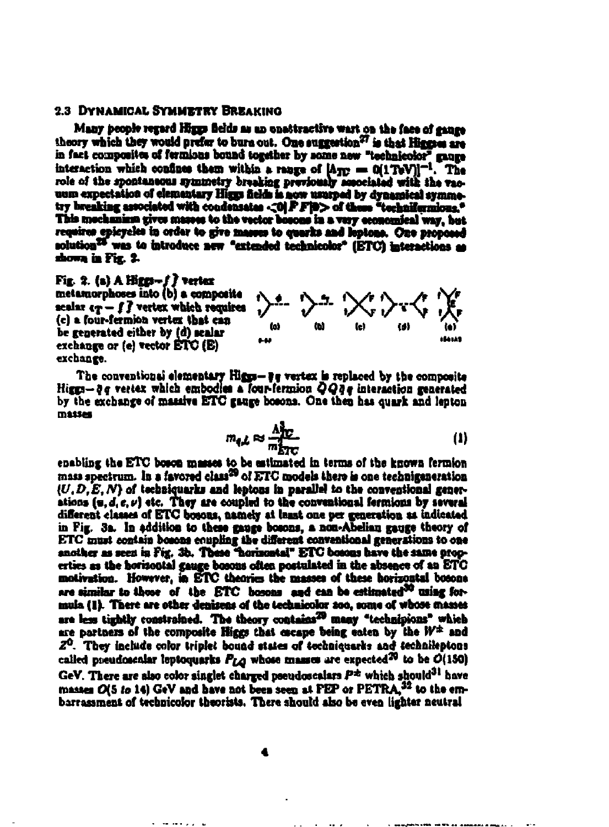#### **2.3 DYNAMICAL SYMMETRY BREAKING**

Many people regard Higgs fields as an unconstructive wart on the face of gauge theory which they would prefer to bure out. One suggestion<sup>27</sup> is that Higgses are in fact composites of fermions bound together by some new "technicolor" more interaction which confines them within a range of  $[A_{\text{TE}} = 0(1 \text{TeV})]^{-1}$ . The role of the spontaneous symmetry breaking previously sesociated with the vacuum expectation of elementary Higgs fields is now usurped by dynamical symmetry breaking associated with condensates <0 FF(0> of these "technifermions." This mechanism gives masses to the vector bosons in a very economical way, but requires epicycles in order to give masses to quarks and leptons. One proposed solution<sup>25</sup> was to introduce new "extended technicolor" (ETC) interactions as shown in Fig. 2.

#### $Fix. 2. (a) A Hicm-f f vertex$

metamorphoses into (b) a composite scalar  $\epsilon_T - f$   $\bar{f}$  vertex which requires (c) a four-fermion vertex that can be generated either by (d) scalar exchange or  $(e)$  vector ETC  $(E)$ exchange.



The conventional elementary Higgs- be vertex is replaced by the composite Hirm-de vertex which embodies a four-fermion  $QQq$ e interaction generated by the exchange of massive ETC gauge bosons. One then has quark and lepton masses

$$
m_{q,L} \approx \frac{\Lambda_{TC}^2}{m_{ETC}^2} \tag{1}
$$

enabling the ETC boson masses to be estimated in terms of the known fermion mass spectrum. In a favored class<sup>29</sup> of ETC models there is one technigeneration  $(U, D, E, N)$  of techniquarks and leptons in parallel to the conventional generations (u, d, e, v) etc. They are coupled to the conventional fermions by several different classes of ETC bosons, namely at least one per generation as indicated in Fig. 3a. In addition to these gauge bosons, a non-Abelian gauge theory of ETC must contain bosons equpling the different conventional generations to one another as seen in Fig. 3b. These "horizontal" ETC bosons have the same properties as the horizontal gauge bosons often postulated in the absence of an ETC motivation. However, in ETC theories the masses of these horizontal bosons are similar to those of the ETC bosons and can be estimated<sup>30</sup> using formula (1). There are other denizens of the technicolor 200, some of whose masses are less tightly constrained. The theory contains<sup>20</sup> many "technicions" which are partners of the composite Higgs that escape being eaten by the W<sup>±</sup> and  $Z<sup>0</sup>$ . They include color triplet bound states of techniquarks and technileptons called pacudoscalar leptoquarks  $P_{LA}$  whose masses are expected<sup>20</sup> to be  $O(150)$ GeV. There are also color singlet charged pseudoscalars  $P^{\pm}$  which should<sup>31</sup> have masses O(5 to 14) GeV and have not been seen at PEP or PETRA.<sup>32</sup> to the embarrassment of technicolor theorists. There should also be even lighter neutral

where  $\alpha\in\mathbb{Z}$  ,  $\alpha\in\mathbb{Z}$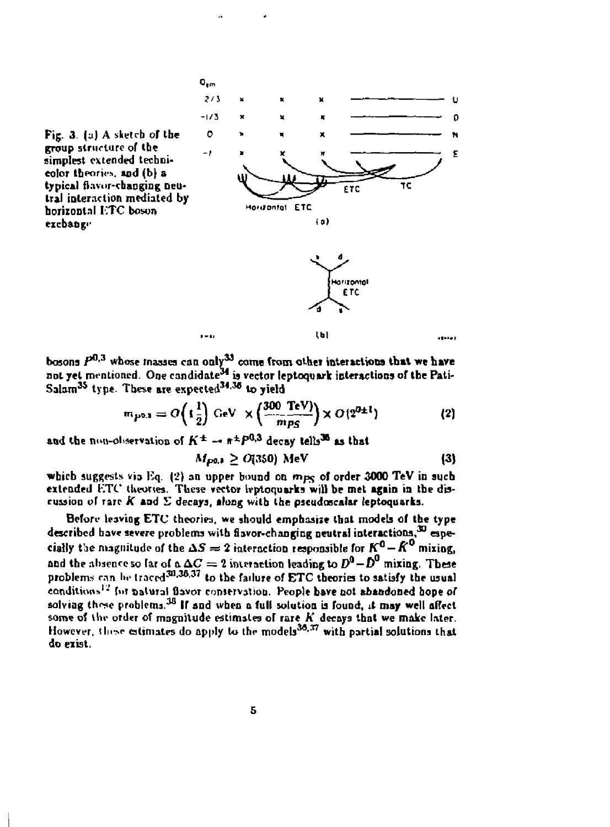

bosons  $P^{0,3}$  whose masses can only<sup>33</sup> come from other interactions that we have not yet mentioned. One candidate<sup>ss</sup> is vector leptoquark interactions of the Pati-**Salam<sup>3</sup> <sup>4</sup> type. These are ex peeled<sup>313</sup> <sup>6</sup> to yield** 

$$
m_{P^{0,3}} = O\left(1\frac{1}{2}\right) \text{ GeV} \times \left(\frac{300 \text{ TeV}}{m_{PS}}\right) \times O(2^{0\pm 1}) \tag{2}
$$

and the non-observation of  $K^{\pm} \rightarrow \pi^{\pm}P^{0,3}$  decay tells<sup>30</sup> as that

 $M_{\text{D0.1}} > O(350) \text{ MeV}$  (3)

which suggests via Eq. (2) an upper bound on mpg of order 3000 TeV in such **extended** *ETC* **theories. Tliese vector Ivptoquarks will be met again in tbe discussion of rare** *K* **aad E decays, along with the pseudoscalar (eptoquarks.** 

Before leaving ETC theories, we should emphasize that models of the type described have severe problems with flavor-changing neutral interactions,<sup>30</sup> especially the magnitude of the  $\Delta S = 2$  interaction responsible for  $K^0 - \hat{K}^0$  mixing, and the absence so far of a  $\Delta C = 2$  interaction leading to  $D^0 - D^0$  mixing. These  $\frac{1}{2}$  problems can be traced<sup>30,38,37</sup> to the failure of ETC theories to satisfy the usual conditions<sup>12</sup> for natural flavor conservation. People have not abandoned hope of **solving thene problems.<sup>38</sup> IT and when a full solution is found, it may well affect**  some of the order of magnitude estimates of rare K decays that we make later.  $H_0$  wever, these estimates do apply to the models<sup>36,37</sup> with partial solutions that **do exist.**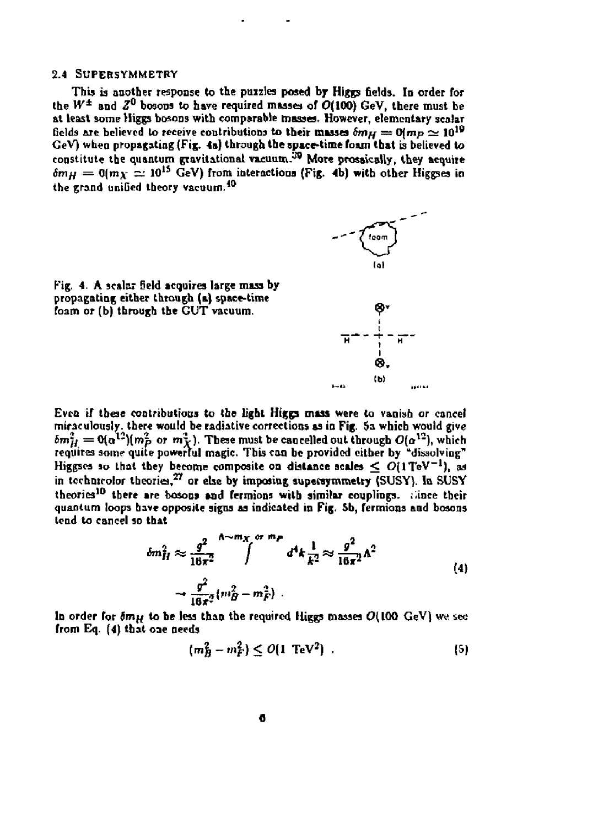#### **2.4 SUPERSVMMETRY**

**This is another response to the puzzles posed by Higgs fields. In order for**  the  $W^{\pm}$  and  $Z^0$  bosons to have required masses of  $O(100)$  GeV, there must be **at least some Higgs bosons with comparable masses. However, elementary scalar**  fields are believed to receive contributions to their masses  $\delta m_H = 0\, m_P \simeq 10^{19}$ **GeV) when propagating (Fig. 4a) through the space-time foam that is believed to constitute the quantum gravitational vacuum.\*\*<sup>9</sup> More prosaically, they acquire**   $\delta m_H = 0$ ( $m_X \simeq 10^{15}$  GeV) from interactions (Fig. 4b) with other Higgses in **the grand uniGed theory vacuum.<sup>10</sup>**



**Kig. 4. A scalar 5eld acquires large mass by propagating either through (a) space-time**  foam or (b) through the GUT vacuum.

**Even if these contributions to the light Htggs mass were to vanish or cancel miraculously, there would be radiative corrections as in Fig. \$a which would give**   $b$ *m*<sub>*H*</sub> = 0( $a^{12}$ )(*m*<sub>*p*</sub> or *m*<sub>*X*</sub>). These must be cancelled out through  $O(a^{12})$ , which **requires some quite powerful magic. This can be provided cither by "dissolving"**  Higgses so that they become composite on distance scales  $\leq O(1 \text{TeV}^{-1})$ , as **in technicolor theories,<sup>37</sup> or else by imposing superaymmetry (SUSY), la SUSY theories<sup>10</sup> there are bosons and fermions with similar couplings. . .ince their quantum loops have opposite signs as indicated in Fig. Sb, fermions and bosons lend to cancel so that** 

$$
\delta m_H^2 \approx \frac{g^2}{16\pi^2} \int^{\Lambda \sim m_X} \int^{\sigma \, m_F} d^4 k \frac{1}{k^2} \approx \frac{g^2}{16\pi^2} \Lambda^2
$$
\n
$$
\sim \frac{g^2}{16\pi^2} (m_B^2 - m_F^2) \ . \tag{4}
$$

In order for  $\delta m_H$  to be less than the required Higgs masses  $O(100 \text{ GeV})$  we sec **from Eq. (4) that one needs** 

$$
(m_B^2 - m_F^2) \le O(1 \text{ TeV}^2) \tag{5}
$$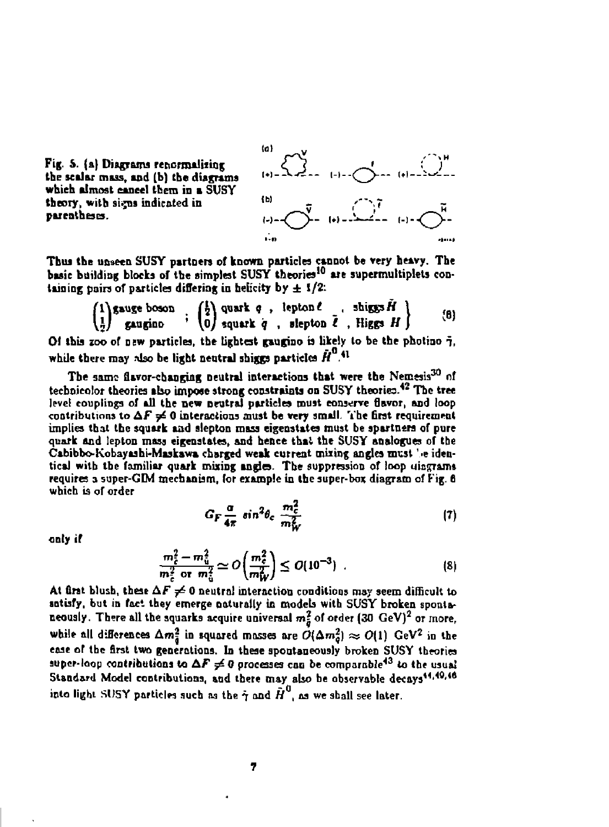

**Fig. S. (a) Diagrams reticrmaliiing** *c~ J* **- • the scalar mass, and (b) the diagrams which almost cancel them in a SUSY**  theory, with signs indicated in **parentheses.** 

**Thus the unseen SUSY partners of known particles cannot be very heavy. The basic building blocks of the simplest SUSY theories<sup>10</sup> are supermultiplets containing pairs of particles differing in belicity by**  $\pm 1/2$ **:** 

**(ill<sup>v</sup>**

$$
\begin{pmatrix} 1 \\ 1 \\ 2 \end{pmatrix} \text{ gauge boson } \begin{pmatrix} 1 \\ 2 \\ 0 \end{pmatrix} \text{ quark } q \text{ , lepton } \ell \text{ , shiggs } H \end{pmatrix} \qquad (8)
$$

**Of this zoo of DEW particles, tbe tightest gaugino is likely to be the photino 7,**  while there may also be light neutral shiggs particles  $\hat{H}^0$ .<sup>41</sup>

**The same flavor-changing neutral interactions that were the Nemesis<sup>30</sup> nf technicolor theories also impose strong constraints on SUSY theories.\*<sup>2</sup> The tree level couplings of all the new neutral particles must conserve flavor, and loop**  contributions to  $\Delta F \neq 0$  interactions must be very small. The first requirement **implies that tbe squark aad slepton mass eigenstates must be spartnera of pure quark and lepton mass eigenstates, and hence that the SUSY analogues of tbe Cabibbo-Kobayaaht-Mukswa charged weak current mixing angles must' >e identical with tbe familiar quark mixing angles. Tbe suppression of loop marrams requires 3 super-GIM mechanism, for example in the super-box diagram of Fig. 6 which is of order** 

$$
G_F \frac{\alpha}{4\pi} \sin^2 \theta_c \frac{m_c^2}{m_W^2} \tag{7}
$$

**only if** 

$$
\frac{m_{\tilde{c}}^2 - m_{\tilde{u}}^2}{m_{\tilde{c}}^2 \text{ or } m_{\tilde{u}}^2} \simeq O\left(\frac{m_{\tilde{c}}^2}{m_W^2}\right) \leq O(10^{-3}) \quad . \tag{8}
$$

At first blush, these  $\Delta F \neq 0$  neutral interaction conditions may seem difficult to **satisfy, but in foci they emerge naturally in models with SUSY broken spontaneously. There all the squarks acquire universal m? of order (30 GeV)<sup>2</sup> or more,**  while all differences  $\Delta m_{\tilde{a}}^2$  in squared masses are  $O(\Delta m_0^2) \approx O(1)$  GeV<sup>2</sup> in the **ease of the first two generations. In these spoatsneously broken SUSY theories**  super-loop contributions to  $\Delta F \neq 0$  processes can be comparable<sup>43</sup> to the usual Standard Model contributions, and there may also be observable decays<sup>44,49,48</sup> into light SUSY particles such as the  $\dot{\gamma}$  and  $\tilde{H}^0$ , as we shall see later.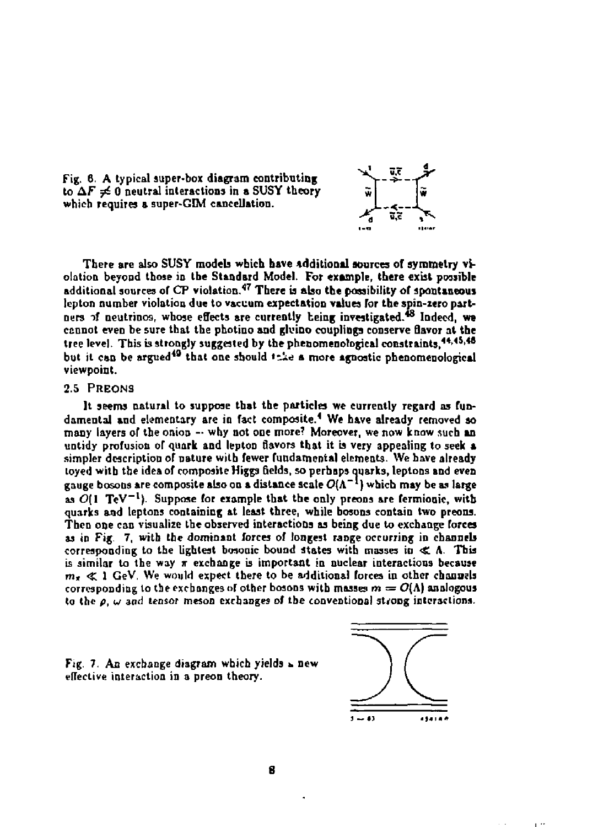Fig. 6. A typical super-box diagram contributing to  $\Delta F \neq 0$  neutral interactions in a SUSY theory **which requires a super-GIM cancellation. i<sup>&</sup>lt; \_\_** 



**There are also SUSY models which have additional sources of symmetry violation beyond those in the Standard Model. For example, there exbt possible additional sources of CP violation.<sup>47</sup> There is also the possibility of spontaneous lepton number violation due to vacuum expectation values for the spin-zero part**ners of neutrinos, whose effects are currently heing investigated.<sup>48</sup> Indeed, we **cannot even be sure that the photino and gluioo couplings conserve flavor at the tree level. This is strongly suggested by the phenomenological constraints,\*<sup>4</sup> ' <sup>45</sup>'\*'**  but it can be argued<sup>49</sup> that one should *this* a more agnostic phenomenological **viewpoint.** 

#### **2.5 PREONS**

**It seems natural to suppose that the particles we currently regard as fundamental and elementary are in fact composite.<sup>4</sup> We have already removed so**  many layers of the onion -- why not one more? Moreover, we now know such an **untidy profusion of quark and lepton flavors that it is very appealing to seek a simpler description of nature with fewer fundamental elements. We have already loyed with the idea of composite Higgs fields, so perhaps Quarks, leptons and even gauge bosons are composite also on a distance scateO(A- \*) which may be as large**  as  $\overline{O}(1 \text{ TeV}^{-1})$ . Suppose for example that the only preons are fermionic, with **quarks and leptons containing at least three, while bosons contain two preons. Then one can visualize the observed interactions as being due to exchange forces as in Fig. 7, with the dominant forces of longest range occurring in channels corresponding to the lightest bosooic bound states with masses in <£ A. This**  is similar to the way  $\pi$  exchange is important in nuclear interactions because  $m_t \ll 1$  GeV. We would expect there to be additional forces in other channels corresponding to the exchanges of other bosons with masses  $m = O(\Lambda)$  analogous **to the** *p, w* **and tensor meson exchanges of tbe conventional strong interactions.** 



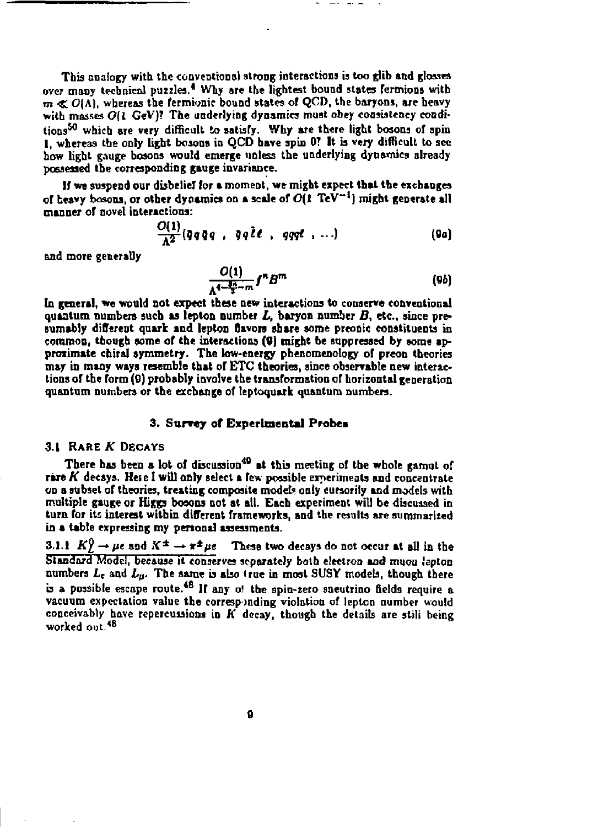**This analogy with the conventional strong interactions is too glib and glosses over many technical puzzles.<sup>1</sup> Why are the lightest bound states fermions with**   $m \ll O(\Lambda)$ , whereas the fermionic bound states of QCD, the baryons, are heavy with masses O(1 GeV)? The underlying dynamics must obey consistency conditions<sup>50</sup> which are very difficult to satisfy. Why are there light bosons of spin 1, whereas the only light bosons in QCD have spin 0? It is very difficult to see **how light gauge bosons would emerge unless the underlying dynamics already possessed the corresponding gauge icvariance.** 

**If we suspend our disbelief for a moment, we might expect that the exchanges of heavy bosons, or other dynamics on a scale of 0(1 TeV\*<sup>1</sup> ] might generate all manner of novel interactions:** 

$$
\frac{O(1)}{\Lambda^2}(q\,q\,q\,q\,,\,q\,q\,2\,\ell\,,\,q\,qq\ell\,,\,\ldots) \qquad (9a)
$$

**and more generally** 

$$
\frac{O(1)}{\Lambda^{4-\frac{3n}{2}-m}}f^nB^m\tag{9b}
$$

**In general, we would not expect these new interactions to conserve conventional**  quantum numbers such as lepton number  $L$ , baryon number  $B$ , etc., since presumably different quark and lepton flavors share some preonic constituents in **common, though some of the interactions (9) might be suppressed by some approximate cbiral symmetry. The low-energy phenomenology of preon theories may in many ways resemble that of ETC theories, since observable new interactions of the form (9) probably involve the transformation of horizontal generation quantum numbers or the exchange of leptoquark quantum numbers.** 

#### **3. Survey of Experimental Probes**

#### **3.1 RARE** *K* **DECAYS**

**There has been a lot of discussion<sup>40</sup> at this meeting of the whole gamut of rare** *K* **decays. Hei e I will only select a few possible experiments and concentrate on a subset of theories, treating composite model\* only cursorily and models with multiple gauge or Higgs bosons not at all. Each experiment will be discussed in turn for its interest within different frameworks, and the results are summarized in a table expressing my personal assessments.** 

**3.1.1**  $K^0 \to \mu e$  and  $K^{\pm} \to \pi^{\pm} \mu e$  These two decays do not occur at all in the **Standard Model, because it conserves separately both electron and muou 'eptcn**   $a$  **numbers**  $L_c$  and  $L_a$ . The same is also true in most SUSY models, though there **is a possible escape route. IT any of the spin-zero sneutrino fields require a vacuum expectation value the corresponding violation of lepton number would conceivably have repercussions in** *K* **decay, though the details are stili being worked out. <sup>1</sup> <sup>8</sup>**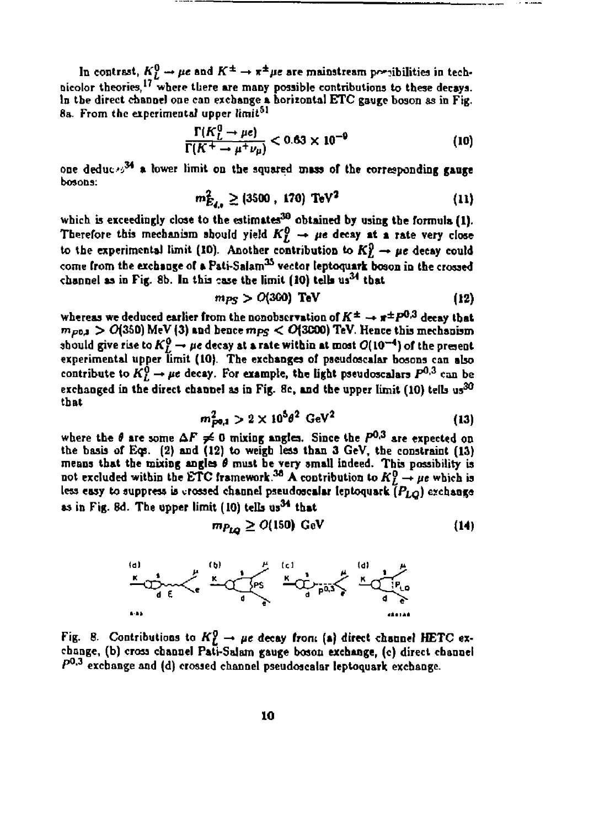In contrast,  $K_L^0 \to \mu e$  and  $K^{\pm} \to \pi^{\pm} \mu e$  are mainstream possibilities in technicolor theories,<sup>17</sup> where there are many possible contributions to these decays. **In the direct channel one can exchange a horizontal ETC gauge boson as in Fig.**  8a. From the experimental upper limit<sup>51</sup>

$$
\frac{\Gamma(K_L^0 \to \mu \epsilon)}{\Gamma(K^+ \to \mu^+ \nu_\mu)} < 0.63 \times 10^{-9} \tag{10}
$$

**one deduce <sup>3</sup> <sup>4</sup> a lower limit on the squared mass of the corresponding gauge bosons:** 

$$
m_{E_{4,\bullet}}^2 \ge (3500 \, , \, 170) \, \text{TeV}^2 \tag{11}
$$

**which is exceedingly close to the estimates<sup>30</sup> obtained by using the formula (1).**  Therefore this mechanism should yield  $K_L^0 \rightarrow \mu e$  decay at a rate very close to the experimental limit (10). Another contribution to  $K_L^0 \rightarrow \mu e$  decay could **come from the exchange of a Pati-Salam<sup>35</sup> vector teptoquark boson in the crossed channel as in Fig. fib. In this case the limit (10) tells** *m34* **that** 

$$
m_{PS} > O(360) \text{ TeV} \tag{12}
$$

whereas we deduced earlier from the nonobscryation of  $K^{\pm} \rightarrow \pi^{\pm}P^{0,3}$  decay that  $m_{P0A}$  >  $O(350)$  MeV (3) and hence  $m_{PS}$  <  $O(3000)$  TeV. Hence this mechanism should give rise to  $K^0_L \rightarrow \mu e$  decay at a rate within at most  $O(10^{-4})$  of the present **experimental upper limit (10). The exchanges of paeudoscalar bosons can also**  contribute to  $K^0_L \rightarrow \mu e$  decay. For example, the light pseudoscalars  $P^{0,3}$  can be exchanged in the direct channel as in Fig. 8c, and the upper limit (10) tells us<sup>30</sup> **that** 

$$
m_{p0,1}^2 > 2 \times 10^5 \theta^2 \text{ GeV}^2 \tag{13}
$$

where the  $\theta$  are some  $\Delta F \neq 0$  mixing angles. Since the  $P^{0,3}$  are expected on **the basis of Eqs. (2) and (12) to weigh less than 3 GeV, the constraint (13) means that the mixing angles** *6* **must be very small indeed. This possibility is**  not excluded within the ETC framework.<sup>30</sup> A contribution to  $K_L^0 \rightarrow \mu e$  which is **less easy to suppress is crossed channel paeudoscalar teptoquark** *[PLQ)* **eschanga as** in Fig. 8d. The upper limit (10) tells us<sup>34</sup> that

$$
m_{P_{LO}} \geq O(150) \text{ GeV} \tag{14}
$$



Fig. 8. Contributions to  $K_L^0 \rightarrow \mu e$  decay from (a) direct channel HETC ex**change, (b) cross channel Patj-Salam gauge boson exchange, (c) direct channel P 0 , 3 exchange and (d) crossed channel pseudoscalar teptoquark exchange.**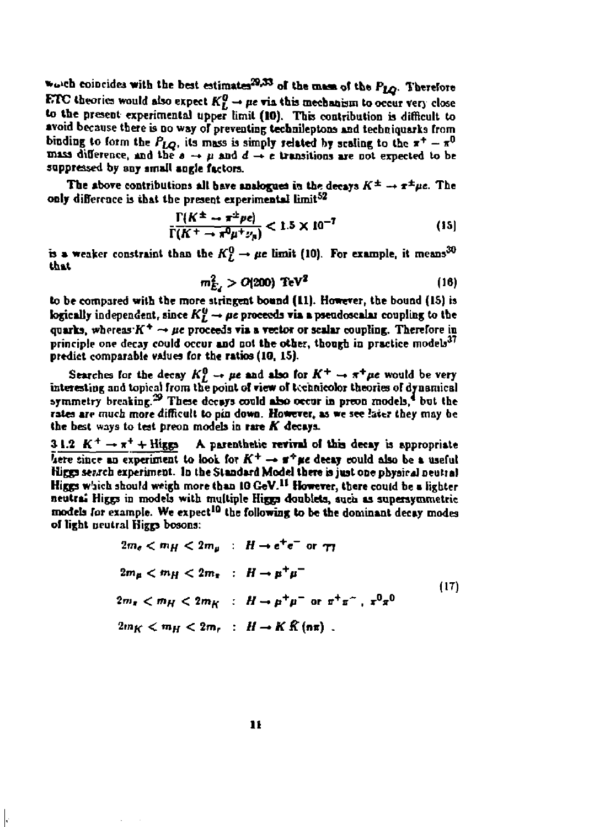**\*...ch** coincides with the best estimates<sup>29,33</sup> of the mass of the P<sub>LO</sub>. Therefore **ETC** theories would also expect  $K_L^0 \rightarrow pe$  via this mechanism to occur very close to the present experimental upper limit (10). This contribution is difficult to avoid because there is no way of preventing technileptons and techniquarks from binding to form the  $P_{LO}$ , its mass is simply related by scaling to the  $x^+ - x^0$ **mass difference, and the**  $a \rightarrow \mu$  **and**  $d \rightarrow e$  **transitions are not expected to be suppressed by any small angle factors.** 

The above contributions all have analogues in the decays  $K^{\pm} \rightarrow \pi^{\pm} \mu e$ . The **only difference is that the present experimental limit<sup>52</sup>**

$$
\frac{\Gamma(K^{\pm} \rightarrow \pi^{\pm} \nu e)}{\Gamma(K^{\pm} \rightarrow \pi^0 \mu^{\pm} \nu_{\mu})} < 1.5 \times 10^{-7} \tag{15}
$$

**b a weaker constraint than the**  $K_L^0 \rightarrow \mu e$  **limit (10). For example, it means<sup>30</sup> that** 

$$
m_{E_4}^2 > O(200) \text{ TeV}^2 \tag{16}
$$

**to be compared with the more stringent boand (11). However, the bound (15) is logically** independent, since  $K_L^0 \rightarrow \mu e$  proceeds via a pseudoscalar coupling to the quarks, whereas  $K^+ \rightarrow \mu \epsilon$  proceeds via a vector or scalar coupling. Therefore in **principle one decay could occur and not the other, though in practice models'" predict comparable values for the ratios (10, 15).** 

Searches for the decay  $K_L^0 \rightarrow \mu e$  and also for  $K^+ \rightarrow \pi^+ \mu e$  would be very **interesting and topical from the point of view of technicolor theories or dynamical symmetry breaking.<sup>29</sup> These decays could abo occur in preon models, but the**  rates are much more difficult to pin down. However, as we see later they may be **the best ways to test preon models in rare** *K* **decays.** 

**3** 1.2  $K^+ \rightarrow \pi^+ + \text{Higgs}$  A parenthetic revival of this decay is appropriate here since an experiment to look for  $K^+ \rightarrow \pi^+ \mu e$  decay could also be a useful **Hicgs sewch experiment. In tbe Standard Model there is just one physical neutral Higgs w'jich should weigh more than 10 GeV.<sup>11</sup> However, there could be a lighter neutral Higgs in models with multiple Higgs doublets, suci as superaytnmetric models for example. We expect<sup>10</sup> tbe following to be the dominant decay modes of light neutral Higgs bosons:** 

$$
2m_e < m_H < 2m_\mu \quad : \quad H \to e^+e^- \quad \text{or} \quad \tau_T
$$
\n
$$
2m_\mu < m_H < 2m_\pi \quad : \quad H \to \mu^+\mu^-
$$
\n
$$
2m_\pi < m_H < 2m_K \quad : \quad H \to \mu^+\mu^- \quad \text{or} \quad \pi^+\pi^- \quad \pi^0\pi^0
$$
\n
$$
2m_K < m_H < 2m_\tau \quad : \quad H \to K \quad \mathbb{R} \quad (\text{nr}) \quad .
$$
\n
$$
(17)
$$

**11** 

ŀ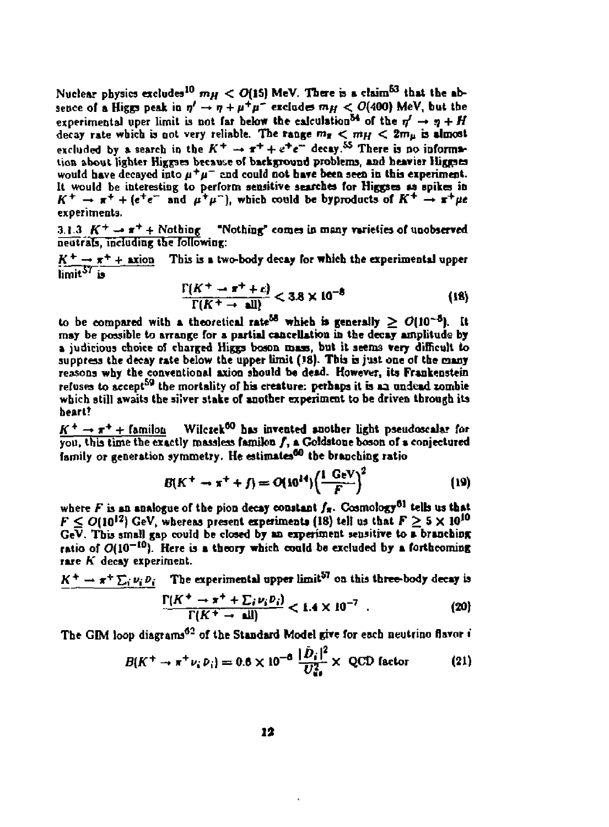Nuclear physics excludes<sup>10</sup>  $m_H < O(15)$  MeV. There is a claim<sup>63</sup> that the absence of a Higgs peak in  $\eta' \to \eta + \mu^+ \mu^-$  excludes  $m_H < O(400)$  MeV, but the experimental uper limit is not far below the calculation<sup>54</sup> of the  $\eta' \rightarrow \eta + H$ decay rate which is not very reliable. The range  $m_{\pi} < m_H < 2m_H$  is almost excluded by a search in the  $K^+ \rightarrow \pi^+ + e^+e^-$  decay.<sup>55</sup> There is no informa**tion about lighter Higgses because of background problems, and heavier Higgses**  would have decayed into  $\mu^+\mu^-$  and could not have been seen in this experiment. **It would be interesting to perform sensitive searches for Higgses as spikes in**   $K^+ \rightarrow \pi^+ + (e^+e^- \text{ and } \mu^+\mu^-)$ , which could be byproducts of  $K^+ \rightarrow \pi^+\mu^$ **experiments.** 

**3.1.3** *K<sup>+</sup> -\* \*\* +* **Nothing "Nothing' comes in many varieties of unobserved neutrals, including the following:** 

 $K^+ \rightarrow \pi^+ + \text{axion}$  This is a two-body decay for which the experimental upper **iimit <sup>5</sup> <sup>7</sup> is** 

$$
\frac{\Gamma(K^+ \to \pi^+ + c)}{\Gamma(K^+ \to \text{all})} < 3.8 \times 10^{-8} \tag{18}
$$

to be compared with a theoretical rate<sup>58</sup> which is generally  $\geq O(10^{-5})$ . It may be possible to arrange for a partial cancellation in the decay amplitude by **a judicious choice of charged Higgs boson mass, but it seems very difficult to**  suppress the decay rate below the upper limit (18). This is just one of the many **reasons why the conventional axion should be dead. However, its Frankenstein**  refuses to accept<sup>59</sup> the mortality of his creature: perhaps it is an undead zombie **which still awaits the silver stake of another experiment to be driven through its heart?** 

 $K^+ \rightarrow \pi^+ +$  familon Wilczek<sup>60</sup> has invented another light pseudoscalar for **you, this time the exactly massless famikm /, a Goldatone boson of** *%* **conjectured family or generation symmetry. He estimates\*<sup>0</sup> the branching ratio** 

$$
B(K^{+} \to x^{+} + f) = O(10^{14}) \left(\frac{1 \text{ GeV}}{F}\right)^{2}
$$
 (19)

**where** *F* **is an analogue of the pion decay constant /»• Cosmology<sup>01</sup> telb us that**   $F \leq O(10^{12})$  GeV, whereas present experiments (18) tell us that  $F \geq 5 \times 10^{10}$ **GeV. This small gap could be closed by as experiment sensitive to a branching**  ratio of  $O(10^{-10})$ . Here is a theory which could be excluded by a forthcoming **rare** *K* **decay experiment.** 

 $K^+ \to \pi^+ \sum_i \nu_i D_i$  The experimental upper limit<sup>57</sup> on this three-body decay is

$$
\frac{\Gamma(K^+ \to \pi^+ + \sum_i \nu_i p_i)}{\Gamma(K^+ \to \text{all})} < 1.4 \times 10^{-7} \quad . \tag{20}
$$

**The GIM loop diagrams<sup>42</sup> of the Standard Model give for each neutrino flavor 1** 

$$
B(K^{+} \to \pi^{+} \nu_{i} \, \nu_{i}) = 0.6 \times 10^{-6} \, \frac{|\bar{D}_{i}|^{2}}{U_{\rm u0}^{2}} \times \text{ QCD factor} \tag{21}
$$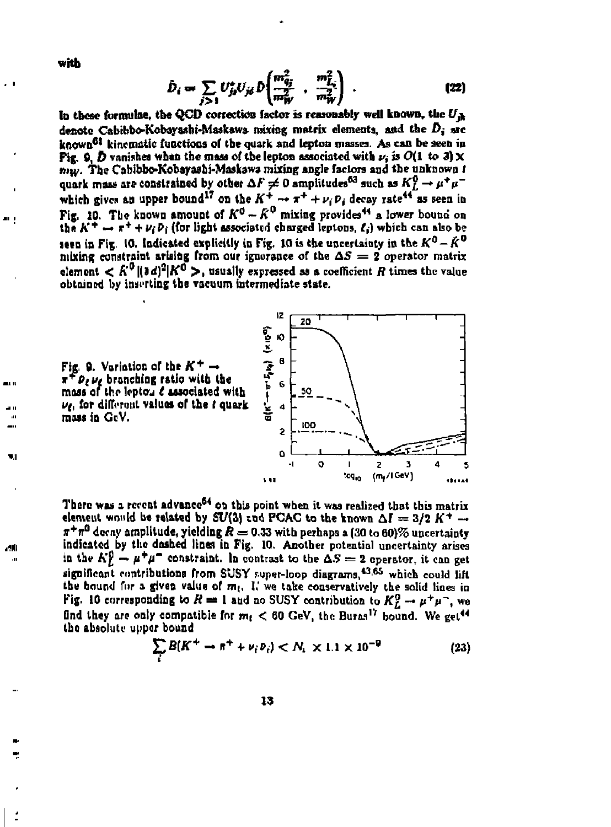**with** 

ar 1

w.

$$
\hat{D}_i \to \sum_{j>1} U_{j\sigma}^* U_{j\sigma} D \left( \frac{m_{q_j}^2}{m_W^2} + \frac{m_{L_j}^2}{m_W^2} \right) . \tag{22}
$$

**la these formulae, tbe QCD correction factor is reasonably well known,** *the U^*  denote Cabibbo-Kobayashi-Maskawa mixing matrix elements, and the  $D_i$  are known<sup>61</sup> kinematic functions of the quark and lepton masses. As can be seen in **Pig. 9.**  $\vec{D}$  **vanishes when the mass of the lepton associated with**  $\nu_i$  **is**  $O(1 \text{ to } 3) \times$  $m_W$ . The Cabibbe-Kebayashi-Maskawa mixing angle factors and the unknown *t* quark mass are constrained by other  $\Delta F \neq 0$  amplitudes<sup>63</sup> such as  $K_L^{\vee} \rightarrow \mu^+ \mu^$ which gives an upper bound<sup>17</sup> on the  $K^+ \rightarrow \pi^+ + \nu, p$ , decay rate<sup>44</sup> as seen in **Fig. 10. The known amount of**  $K^0 - K^0$  **mixing provides<sup>44</sup> a lower bound on** the  $K^+ \rightarrow \pi^+ + \nu_\ell p_\ell$  (for light associated charged leptons,  $\ell_\ell$ ) which can also be **seen in Fig. 10. Indicated explicitly in Fig. 10 is the uncertainty in the**  $K^0 - \hat{K}^0$ mixing constraint arising from our ignorance of the  $\Delta S = 2$  operator matrix clement  $\epsilon$   $R^0$  ii ad<sup>12</sup> iK<sup>0</sup> > usually expressed as a coefficient *R* times the value **obtained by inserting tbe vacuum intermediate state.** 



Fig. 9. Variation of the  $K^+$  - $\pi^+$ *P<sub>t</sub>*  $\nu_{\ell}$  branching ratio with the mass of the lepton  $\ell$  associated with  $\nu_{\ell}$ , for different values of the  $t$  quark mass in GeV.

There was a recent advance<sup>54</sup> on this point when it was realized that this matrix element would be related by SU(3) and PCAC to the known  $\Delta I = 3/2$  K<sup>+</sup>  $\rightarrow$  $\pi$ <sup>+</sup> $\pi$ <sup>0</sup> decay amplitude, yielding  $R = 0.33$  with perhaps a (30 to 60)% uncertainty **indicated by tlic dashed linen in Fig. 10. Another potential uncertainty arises**  in the  $K_L^y \rightarrow \mu^+\mu^-$  constraint. In contrast to the  $\Delta S = 2$  operator, it can get **significant contributions from SUSY ruper-loop diagrams, <sup>436</sup> <sup>5</sup> which could lift tbe bound fur a given value of m( , I,' we take conservatively the solid lines in Fig. 10 corresponding to**  $R = 1$  **and no SUSY contribution to**  $K_L^0 \rightarrow \mu^+ \mu^-$ **, we** find they are only compatible for  $m_t < 60$  GeV, the Buras<sup>17</sup> bound. We get<sup>44</sup> **the absoluti- upper bound** 

$$
\sum_{i} B(K^{+} \to \pi^{+} + \nu_{i} \nu_{i}) < N_{i} \times 1.1 \times 10^{-9} \tag{23}
$$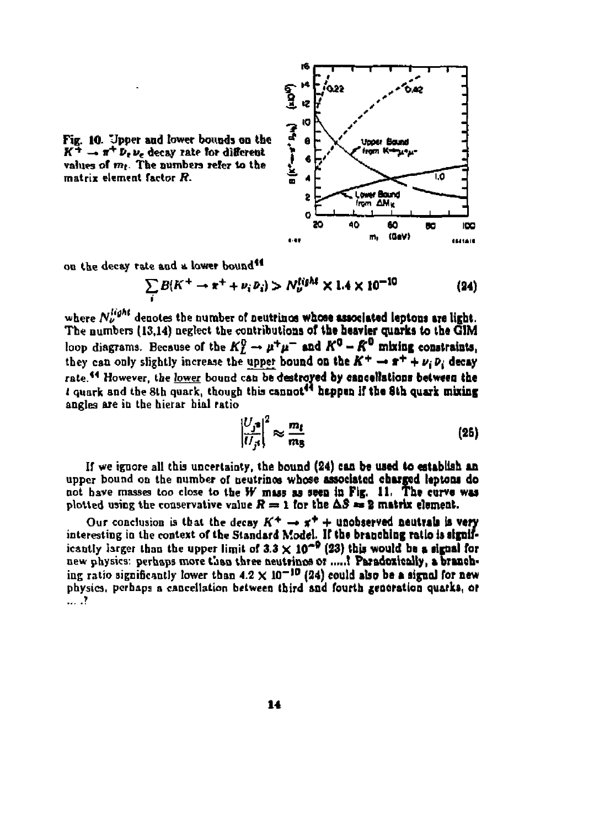

Fig. 10. Upper and lower bounds on the  $K^{\pm} \rightarrow \pi^+ \, \bar{\nu}_e \, \nu_e$  decay rate for different values of  $m_1$ . The numbers refer to the **matrix element factor** *R.* 

on the decay rate and a lower bound<sup>44</sup>

$$
\sum_{i} B(K^{+} \to \pi^{+} + \nu_{i} \, \nu_{i}) > N_{\nu}^{\text{tight}} \times 1.4 \times 10^{-10} \tag{24}
$$

where  $N_{\nu}^{\mu\rho\alpha}$  denotes the number of neutrinos whose associated leptons are light. **The numbers (13,14) neglect the contributions of the heavier quarks to the G1M**  loop diagrams. Because of the  $K_L^0 \to \mu^+\mu^-$  and  $K^0$  –  $K^0$  mixing constraints, they can only slightly increase the upper bound on the  $K^+ \rightarrow \pi^+ + \nu_i \, \bar{\nu}_i$  decay rate.<sup>44</sup> However, the lower bound can be destroyed by cancellations between the *t* **quark and the 8th quark, though this cannot\*\* happen if the 8th quark mixing angles are in the hierar hial ratio** 

$$
\left|\frac{U_j z}{U_{ji}}\right|^2 \approx \frac{m_t}{m_B} \tag{25}
$$

**If we ignore all this uncertainty, the bound (24) can be used to establish an**  upper bound on the number of neutrinos whose associated charged leptons do **not have masses too close to the** *W* **mass as seen in Fig, 11. The curve was**  plotted using the conservative value  $R = 1$  for the  $\Delta S = 2$  matrix element.

Our conclusion is that the decay  $K^+ \rightarrow \pi^+ +$  unobserved neutrals is very **interesting in the context of the Standard Model. If the branching ratio is signif**icantly larger than the upper limit of  $3.3 \times 10^{-9}$  (23) this would be a signal for new physics: perhaps more than three neutrinos or .....? Paradoxically, a branching ratio significantly lower than  $4.2 \times 10^{-10}$  (24) could also be a signal for new **physics, perhaps a cancellation between third and fourth generation quarks, or**   $\ldots$  .  $\mathbf{?}$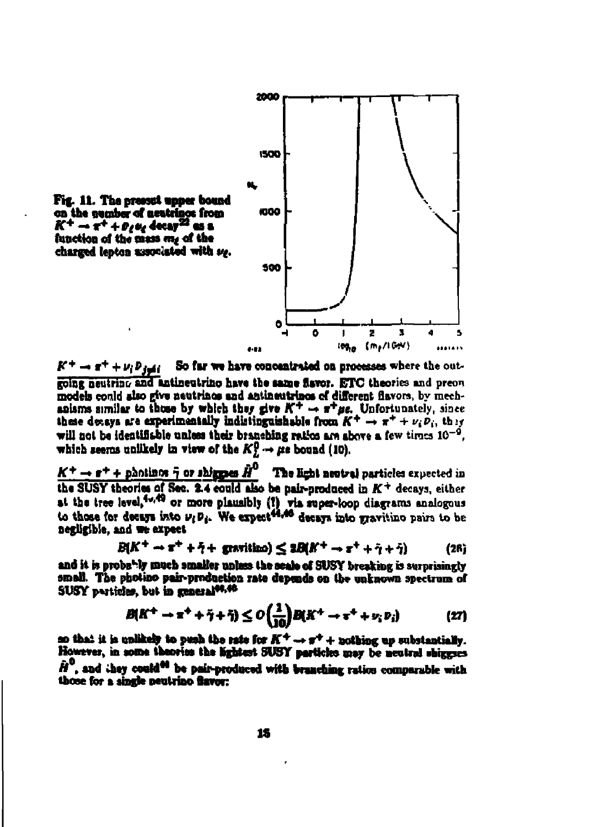

 $K^+ \rightarrow \pi^+ + \nu_i \bar{\nu}_{i \to i}$ So far we have concentrated on processes where the outgoing neutring and antineutrino have the same flavor. ETC theories and preon models could also give neutrinos and antineutrinos of different flavors, by mechanisms similar to those by which they give  $K^+ \rightarrow \pi^+ \mu$ . Unfortunately, since these deveys are experimentally indistinguishable from  $K^+ \to \pi^+ + \nu_i \bar{\nu}_i$ , they will not be identifishle unless their branching ratios are above a few times  $10^{-9}$ . which seems unlikely in view of the  $K^0 \rightarrow \mu e$  bound (10).

 $K^+ \rightarrow r^+ +$  photinos  $\bar{\eta}$  or shigges  $\bar{H}^0$  . The light neutral particles expected in the SUSY theories of Sec. 2.4 could also be pair-produced in  $K^+$  decays, either at the tree level,<sup>40,49</sup> or more plausibly (?) via super-loop diagrams analogous<br>to those for decays into  $\nu_i p_i$ . We expect<sup>44,46</sup> decays into gravitino pairs to be negligible, and we expect

$$
B(K^+ \to \pi^+ + \tilde{\gamma} + \text{gravitino}) \leq 2B(K^+ \to \pi^+ + \tilde{\gamma} + \tilde{\gamma}) \tag{26}
$$

and it is probably much amalier unlass the scale of SUSY breaking is surprisingly small. The photino pair-production rate depends on the unknown spectrum of SUSY particles, but in general<sup>94,46</sup>

$$
B(K^{+} \to \pi^{+} + \tilde{\gamma} + \tilde{\gamma}) \le O\left(\frac{1}{10}\right)B(K^{+} \to \pi^{+} + \nu_{i} \nu_{i}) \tag{27}
$$

so that it is unlikely to peah the rate for  $K^+ \rightarrow \pi^+ +$  nothing up substantially. However, in some theories the lightest SUSY particles may be neutral shiggnes  $\hat{H}^0$ , and they could<sup>44</sup> be pair-produced with branching ratios comparable with those for a single neutrino flavor: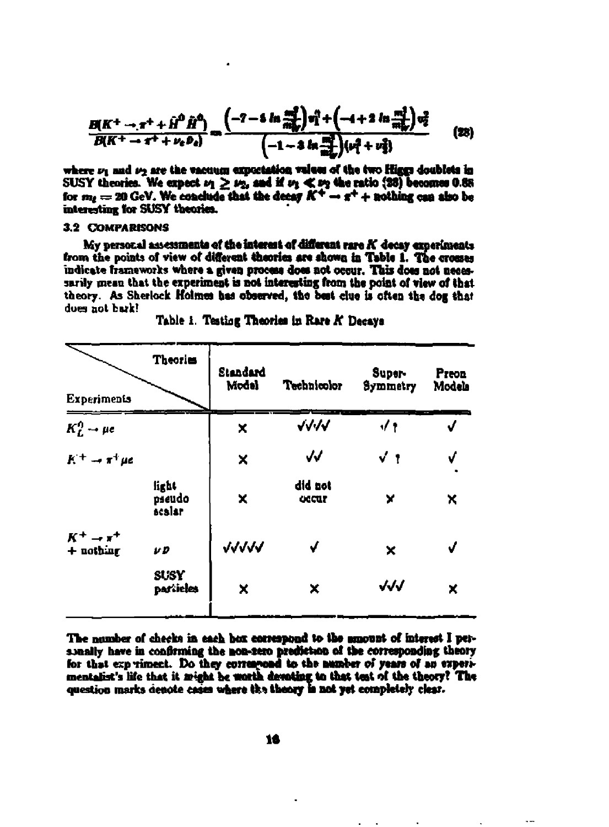$$
\frac{B(K^+ \to \pi^+ + \hat{H}^0 \hat{H}^0)}{B(K^+ \to \pi^+ + \nu_e \bar{\nu}_e)} = \frac{(-7 - 6 \ln \frac{\pi^2}{\hat{m}^2} ) v_1^3 + (-4 + 2 \ln \frac{\pi^3}{\hat{m}^3} ) v_2^2}{(-1 - 4 \ln \frac{\pi^3}{\hat{m}^3} ) (\nu_1^3 + \nu_2^3)}
$$
(28)

where  $\nu_1$  and  $\nu_2$  are the vacuum exportation values of the two Higgs doublets in SUSY theories. We expect  $\nu_1 \geq \nu_2$ , and if  $\nu_3 \ll \nu_2$  the ratio (28) becomes 0.88 for  $m_{\ell} = 20$  GeV. We conclude that the decay  $K^+ \to \pi^+ +$  nothing can also be interesting for SUSY theories.

#### 3.2 COMPARISONS

My personal assessments of the interest of different rare K decay experiments from the points of view of different theories are shown in Table 1. The crosses indicate frameworks where a given process does not occur. This does not necessarily mean that the experiment is not interesting from the point of view of that theory. As Sherlock Holmes has observed, the best clue is often the dog that does not bark!

| <b>Theories</b>           | Standard<br>Model | Technicolor      | <b>Super-</b><br>Symmetry | <b>Preon</b><br>Models |
|---------------------------|-------------------|------------------|---------------------------|------------------------|
|                           | ×                 | $\sqrt{11}$      | $\sqrt{1}$                | J                      |
|                           | X                 | $\checkmark$     | $\sqrt{1}$                | √                      |
| light<br>pseudo<br>scalar | X                 | did not<br>uccur | ×                         | ×                      |
| v D                       | <b>JJJJJ</b>      | $\sqrt{ }$       | ×                         | $\sqrt{ }$             |
| SUSY<br>particles         | ×                 | ×                | $\sqrt{3}$                | ×                      |
|                           |                   |                  |                           |                        |

Table 1. Testing Theories in Rare K Decays

The number of checks in each box correspond to the amount of interest I personally have in confirming the non-zero prediction of the corresponding theory for that experiment. Do they correspond to the number of years of an experimentalist's life that it might be worth devoting to that test of the theory? The question marks denote cases where the theory is not yet completely clear.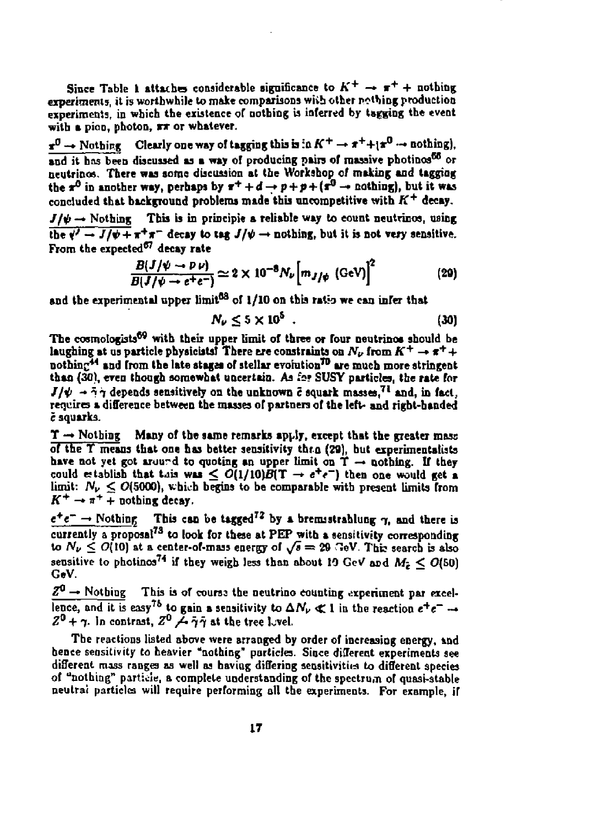Since Table 1 attaches considerable significance to  $K^+ \rightarrow \pi^+ +$  nothing **experiments, it is worthwhile to make comparisons wiib other nothing production**  experiments, in which the existence of nothing is inferred by tagging the event **with a pioo, photon, rx or whatever.** 

 $x^0 \rightarrow$  Nothing. Clearly one way of tagging this is in  $K^+ \rightarrow \pi^+ + i \pi^0 \rightarrow$  nothing), **and it has been discussed as a way of producing pairs of massive pbotinos<sup>6</sup> " or neutrinos. There was some discussion at the Workshop of mailing and taggiog**  the  $x^{\circ}$  in another way, perhaps by  $x^{\circ} + d \rightarrow p + p + (x^{\circ} \rightarrow \text{nothing})$ , but it was **concluded that background problems made this uncompetitive with** *K<sup>+</sup>*  **decay.** 

 $J/\psi \rightarrow$  Nothing This is in principle a reliable way to count neutrinos, using  $\frac{1}{2}$   $\frac{1}{2}$   $\frac{1}{\sqrt{2}} + \frac{1}{\pi^+ \pi^-}$  decay to tag  $J/\psi \to \text{nothing}$  nothing, but it is not very sensitive. **From the expected<sup>87</sup> decay rate** 

$$
\frac{B(J/\psi \to P \nu)}{B(J/\psi \to e^+e^-)} \simeq 2 \times 10^{-8} N_{\nu} \Big[ m_{J/\psi} \, (\text{GeV}) \Big]^2 \tag{29}
$$

**and the experimental upper limit<sup>03</sup> of 1/10 on this ratio we can infer that** 

$$
N_{\nu} \leq 5 \times 10^5 \tag{30}
$$

**The cosmologbts\*<sup>9</sup> with their upper limit of three or four neutrinos should be**  laughing at us particle physicists! There are constraints on  $N_{\nu}$  from  $K^+ \rightarrow \pi^+ +$ **nothinc\*<sup>4</sup> and from the late stages of stellar evolution<sup>70</sup> are much more stringent**  than (30), even though somewhat uncertain. As for SUSY particles, the rate for  $J/\psi \rightarrow \tilde{\gamma}\gamma$  depends sensitively on the unknown  $\tilde{c}$  squark masses,<sup>71</sup> and, in fact, **requires a difference between the masses of partners of the left- and right-handed**  *e* **squarks.** 

 $T \rightarrow$  Nothing Many of the same remarks apply, except that the greater mass **of the T means that one has better sensitivity thro (20), but experimentalists**  have not yet got aruurd to quoting an upper limit on  $T \rightarrow$  nothing. If they could establish that tais was  $\leq O(1/10)B(T \rightarrow e^+e^-)$  then one would get a  $\lim_{\nu}$ :  $N_{\nu} \leq O(5000)$ , which begins to be comparable with present limits from  $K^+ \rightarrow \pi^+ + \text{nothing}$ 

 $e^+e^- \rightarrow$  Nothing This can be tagged<sup>72</sup> by a bremistrahlung  $\gamma$ , and there is **currently a proposal<sup>73</sup> to look for these at PEP with a sensitivity corresponding**  to  $N_{\nu} \leq O(10)$  at a center-of-mass energy of  $\sqrt{s} = 29$  GeV. This search is also sensitive to photinos<sup>74</sup> if they weigh less than about 19 GeV and  $M_2 < O(50)$ **GeV.** 

 $Z^0 \rightarrow$  Nothing This is of course the neutrino counting experiment par excellence, and it is easy<sup>75</sup> to gain a sensitivity to  $\Delta N_{\nu} \ll 1$  in the reaction  $e^{+}e^{-} \rightarrow$  $Z^0 + \gamma$ . In contrast,  $Z^0 \not\rightarrow \bar{\gamma}\bar{\gamma}$  at the tree lovel.

**The reactions listed above were arranged by order of increasing energy, &nd hence sensitivity to heavier "nothing" particles. Since different experiments see different mass ranges as well as having differing sensitivities to different species of "nothing" particle, a complete understanding of the spectrum of quasi-stable neulrai particles will require performing oil the experiments. For example, if**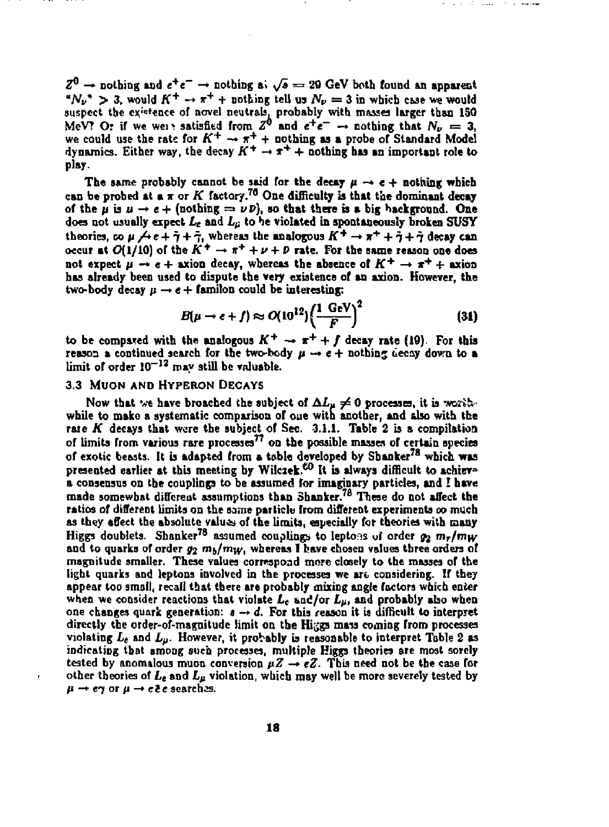$Z^0 \rightarrow$  nothing and  $e^+e^- \rightarrow$  nothing a)  $\sqrt{s} = 29$  GeV both found an apparent " $N_{\nu}$ " > 3, would  $K^+ \rightarrow \pi^+$  + nothing tell us  $N_{\nu} = 3$  in which case we would suspect the existence of novel neutrals, probably with masses larger than 150 MeV? Or if we wenhastisfied from  $Z^0$  and  $e^+e^- \rightarrow$  nothing that  $N_{\nu} = 3$ . we could use the rate for  $K^+ \rightarrow \pi^+ +$  nothing as a probe of Standard Model dynamics. Either way, the decay  $K^+ \rightarrow \pi^+ +$  nothing has an important role to **play.** 

The same probably cannot be said for the decay  $\mu \rightarrow e +$  nothing which **can be probed at a \* or** *K* **factory.<sup>70</sup> One difficulty is that the dominant decay**  of the *u* is  $u \rightarrow e +$  (nothing  $=v \nu p$ ), so that there is a big background. One **does not usually expect** *L<sup>t</sup>*  **and** *Lp* **to he violated in spontaneously broken SUSY**  theories,  $\infty$   $\mu$   $\neq$   $e + 7 + 7$ , whereas the analogous  $K^+ \rightarrow \pi^+ + 7 + 7$  decay can **occur at**  $O(1/10)$  **of the**  $K^+ \rightarrow \pi^+ + \nu + D$  **rate. For the same reason one does not expect**  $p \rightarrow e +$  axion decay, whereas the absence of  $K^+ \rightarrow \pi^+ +$  axion **has already been used to dispute the very existence of an axion. However, the**  two-body decay  $\mu \rightarrow e +$  familon could be interesting:

$$
B(\mu \to e + f) \approx O(10^{12}) \left(\frac{1 \text{ GeV}}{F}\right)^2 \tag{31}
$$

 $\sim$  200  $\pm$ 

to be compared with the analogous  $K^+ \rightarrow \pi^+ + f$  decay rate (19). For this reason a continued search for the two-body  $\mu \rightarrow e +$  nothing decay down to a limit of order  $10^{-12}$  may still be valuable.

#### **3.3 MUON ANO HYPERON DECAYS**

Now that we have broached the subject of  $\Delta L_{\mu} \neq 0$  processes, it is worth**while to make a systematic comparison of one with another, and also with the rate** *K* **decays that were the subject of Sec. 3.1.1. Table 2 is a compilation of limits from various rare processes<sup>7</sup> ' on the possible masses of certain species of exotic beasts. It is adapted from a table developed by Shanker<sup>78</sup> which was presented earlier at this meeting by Wilciek.\*<sup>0</sup> It is always difficult to achieve a consensus on tbe couplings to be assumed for imaginary particles, and I have made somewhat different assumptions than 3hanker.7B These do not affect the ratios of different limits on the same particle from different experiments** *oo* **much as they affect the absolute values of the limits, especially for theories with many**  Higgs doublets. Shanker<sup>78</sup> assumed couplings to lentoes of order  $\omega_0$  m<sub>*T</sub>*/mw</sub> **and to quarks of order**  $\omega_0$ *m***<sub>b</sub>/***m***<sub>***W***</sub>. whereas I have chosen values three orders of magnitude smaller. These values correspond more closely to the masses of the light quarks and leptons involved in the processes we art considering. If they appear loo small, recall that there are probably mixing angle factors which enter when we consider reactions that violate** *L<sup>t</sup>*  **and/or** *Lp,* **and probably also when one changes quark generation:** *t -\* d.* **For this reason it is difficult to interpret directly the order-of-magnitude limit on tbe Higgs mass coming from processes**  violating  $L_{\ell}$  and  $L_{\mu}$ . However, it probably is reasonable to interpret Table 2 as **indicating that among such processes, multiple Higgs theories are most sorely**  tested by anomalous muon conversion  $\mu Z \rightarrow eZ$ . This need not be the case for **other theories of** *L<sup>t</sup>*  **and** *Lp* **violation, which may well be more severely tested by**   $\mu \rightarrow e\gamma$  or  $\mu \rightarrow e\bar{e}e$  searches.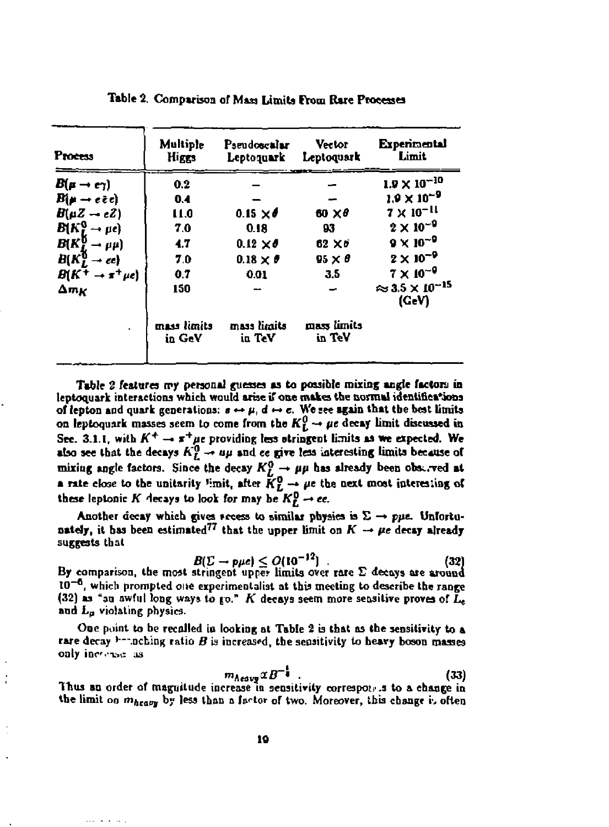| <b>Process</b>                                                                         | <b>Multiple</b><br>Higgs | <b>Pseudoscalar</b><br>Leptoquark | Vector<br>Leptoquark  | <b>Experimental</b><br>Limit.                     |
|----------------------------------------------------------------------------------------|--------------------------|-----------------------------------|-----------------------|---------------------------------------------------|
| $B(\mu \rightarrow e \gamma)$                                                          | 0.2                      |                                   |                       | $1.9 \times 10^{-10}$                             |
| Віµ → еёс)                                                                             | 0.4                      |                                   |                       | $1.9 \times 10^{-9}$                              |
| $B(\mu Z - \epsilon Z)$                                                                | 11.0                     | 0.15 $\times$ $\theta$            | 60 X O                | $7 \times 10^{-11}$                               |
| $B(K_I^0 \rightarrow \mu e)$                                                           | 7.0                      | 0.18                              | 93                    | $2 \times 10^{-9}$                                |
| $\begin{array}{l} B(K_L^0 \rightarrow \mu \mu) \\ B(K_L^0 \rightarrow ee) \end{array}$ | 4.7                      | $0.12 \times d$                   | $62 \times 5$         | $9 \times 10^{-9}$                                |
|                                                                                        | 7.0                      | $0.18 \times P$                   | $95 \times \theta$    | $2 \times 10^{-9}$                                |
| $B(K^+ \rightarrow \pi^+ \mu e)$                                                       | 0.7                      | 0.01                              | 3.5                   | $7 \times 10^{-9}$                                |
| $\Delta m_K$                                                                           | 150                      |                                   |                       | $\approx$ 3.5 $\times$ 10 <sup>-15</sup><br>(GeV) |
|                                                                                        | mass limits<br>in GeV    | mass limits<br>in TeV             | mass limits<br>in TeV |                                                   |

Table 2. Comparison of Mass Limits From Rare Processes

Table 2 features my personal guesses as to possible mixing angle factors in leptoquark interactions which would arise if one makes the normal identifications of lepton and quark generations:  $s \leftrightarrow \mu$ ,  $d \leftrightarrow c$ . We see again that the best limits on leptoquark masses seem to come from the  $K_L^0 \rightarrow \mu e$  decay limit discussed in See. 3.1.1, with  $K^+ \rightarrow \pi^+ \mu e$  providing less otringent limits as we expected. We also see that the decays  $K_L^0 \rightarrow \mu \mu$  and ce give less interesting limits because of mixing angle factors. Since the decay  $K_L^0 \to \mu\mu$  has already been observed at a rate close to the unitarity limit, after  $K_L^0 \to \mu e$  the next most interesting of these leptonic K decays to look for may be  $K_r^0 \rightarrow ee$ .

Another decay which gives access to similar physics is  $\Sigma \rightarrow p\mu e$ . Unfortunately, it has been estimated<sup>77</sup> that the upper limit on  $K \to \mu e$  decay already suggests that

$$
B(\Sigma \to p\mu e) \le O(10^{-12}) \tag{32}
$$

By comparison, the most stringent upper limits over rare  $\Sigma$  decays are around  $10^{-6}$ , which prompted one experimentalist at this meeting to describe the range (32) as "an awful long ways to go." K decays seem more sensitive proves of  $L_e$ and L<sub>a</sub> violating physics.

One point to be recalled in looking at Table 2 is that as the sensitivity to a rare decay  $\lambda$ -nothing ratio  $B$  is increased, the sensitivity to heavy boson masses only increase as

$$
Area \times B^{-1}
$$
 (33)

Thus an order of magnitude increase in sensitivity correspones to a change in the limit on mheavy by less than a factor of two. Moreover, this change is often

 $\mathbf{m}$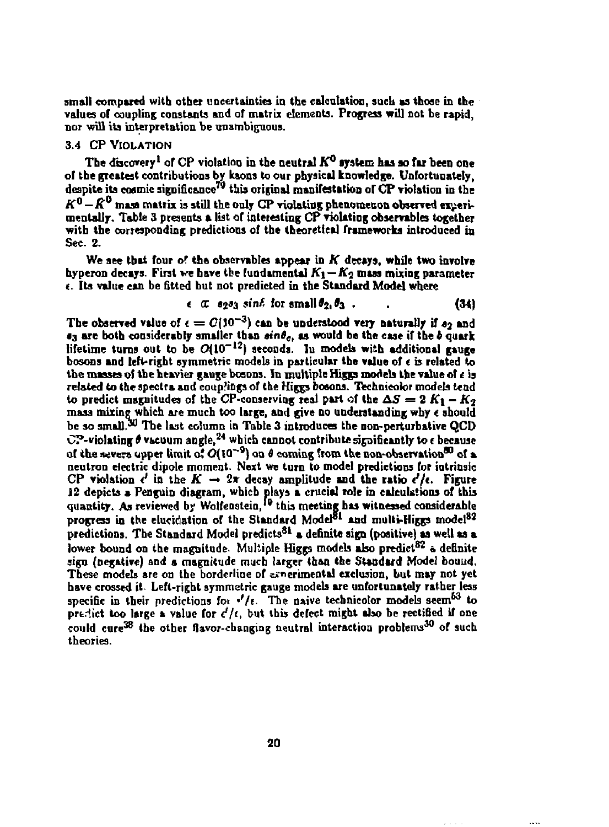**small compared with other uncertainties in the calculation, such as those in the values of coupling constants and of matrix elements. Progress will not be rapid, nor will its interpretation be unambiguous.** 

### **3.4 CP VIOLATION**

**The discovery<sup>1</sup> of CP violation in the neutral** *K°* **system has so far been one of the greatest contributions by kaons to our physical knowledge. Unfortunately, despite its cosmic significance<sup>79</sup> this original manifestation or CP violation in the**   $K^0 - K^0$  mass matrix is still the only CP violating phenomenon observed experi**mentally. Table 3 presents a list of interesting CP violating observables together with the corresponding predictions of the theoretical frameworks introduced in Sec. 2.** 

**We see that four of the observables appear in** *K* **decays, while two involve**  hyperon decays. First we have the fundamental  $K_1 - K_2$  mass mixing parameter *t.* **Its value can be fitted hut not predicted in the Standard Model where** 

$$
\epsilon \ \alpha \ \text{sga}_3 \ \text{sin}\ell \ \text{for small} \ \theta_{2_1} \theta_3 \ . \tag{34}
$$

The observed value of  $\epsilon = C(10^{-3})$  can be understood very naturally if  $s_2$  and  $\epsilon_3$  are both considerably smaller than  $\sin\theta_c$ , as would be the case if the *b* quark **lifetime turns out to be 0(1O-12 ) seconds, lu models with additional gauge bosons and left-right symmetric models in particular the value of** *t* **is related to**  the masses of the heavier gauge bosons. In multiple Higgs models the value of  $\epsilon$  is **related to the spectra and couplings of the Higgs bosons. Technicolor models tend**  to predict magnitudes of the CP-conserving real part of the  $\Delta S = 2 K_1 - K_2$ **mass mixing which are much too large, and give no understanding why t should be so small. The last column in Table 3 introduces the non-perturbative QCD OP-violating** *\$* **vacuum angle,<sup>24</sup> which cannot contribute significantly to f because of the severs upper limit of**  $O(10^{-9})$  **on**  $\theta$  **coming from the non-observation<sup>80</sup> of a neutron electric dipole moment. Next we turn to model predictions for intrinsic**  CP violation  $c'$  in the  $K \rightarrow 2\pi$  decay amplitude and the ratio  $c'/c$ . Figure **J2 depicts a Penguin diagram, which plays a crucial role in calculations of this**  quantity. As reviewed by Wolfenstein,<sup>10</sup> this meeting has witnessed considerable **progress in the elucidation or the Standard Model\*<sup>1</sup> and multi-Higgs model<sup>83</sup> predictions. The Standard Model predicts<sup>31</sup> a definite sign (positive) aa well as a lower bound on the magnitude. Multiple Higgs models also predict<sup>82</sup> « definite sign (negative) and a magnitude much larger than the Standard Model bound.**  These models are on the borderline of experimental exclusion, but may not yet **have crossed it- Left-right symmetric gauge modeb are unfortunately rather less specific in their predictions fot •'/(• The naive technicolor modeb seem<sup>6</sup> <sup>3</sup> to prtrtict too large a value for** *d/i,* **but ihb defect might also be rectified if one**  pressive and image a value ful c /t, yut this ustress might may be received if one **theories.**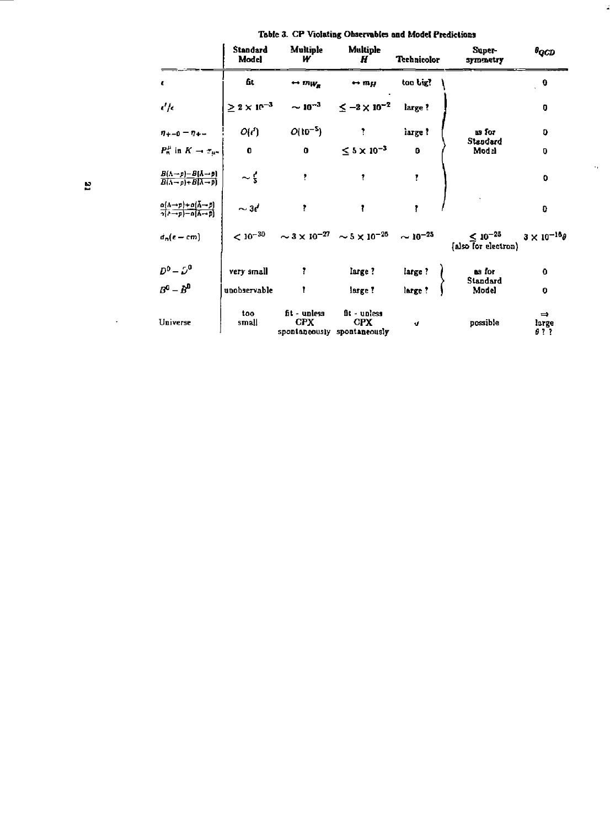|                                                                                                                   | <b>Standard</b><br>Model | Multiple<br>w                 | Multiple<br>Н                                                                  | <b>Technicolor</b> | Super<br>symmetry                                      | $\theta_{QCD}$                 |
|-------------------------------------------------------------------------------------------------------------------|--------------------------|-------------------------------|--------------------------------------------------------------------------------|--------------------|--------------------------------------------------------|--------------------------------|
| ε                                                                                                                 | 6t.                      | $\leftrightarrow m_{W_R}$     | $\leftrightarrow$ my                                                           | too big?           |                                                        | 0                              |
| $\epsilon'/\epsilon$                                                                                              |                          |                               | $\geq 2 \times 10^{-3}$ ~ $10^{-3}$ $\leq -2 \times 10^{-2}$                   | large?             |                                                        | $\mathbf 0$                    |
| $7 + -0 = 7 + -$                                                                                                  | O(d)                     | $O(10^{-5})$                  | $\mathcal{L} = \mathcal{L}$                                                    | iarge ?            | as for<br>Standard<br>Modal                            | O                              |
| $P_n^{\mu}$ in $K \to \tau_{\mu \nu}$                                                                             | $\bullet$                | $\mathbf{0}$ and $\mathbf{0}$ | $\leq$ 5 $\times$ 10 <sup>-3</sup>                                             | o                  |                                                        | 0                              |
| $\frac{B(\Lambda \to p) - B(\Lambda \to p)}{B(\Lambda \to p) + B(\Lambda \to p)}$                                 | $\sim$ $\frac{1}{5}$     | ŧ                             | ŧ                                                                              | ŗ                  |                                                        | 0                              |
| $\frac{\alpha(\Lambda \to p) + \alpha(\bar{\Lambda} \to p)}{\alpha(\Lambda \to p) - \alpha(\bar{\Lambda} \to p)}$ | $\sim$ 3d                | Ť                             | Î.                                                                             | ŧ                  |                                                        | 0                              |
| $d_n(\epsilon - cm)$                                                                                              |                          |                               | $< 10^{-30}$ $\sim 3 \times 10^{-27}$ $\sim 5 \times 10^{-26}$ $\sim 10^{-25}$ |                    | $< 10^{-25}$ $3 \times 10^{-16}$<br>also for electron) |                                |
| $D^0 - D^0$                                                                                                       | very small               | Ŧ                             | large?                                                                         | large?             | as for                                                 | $\mathbf 0$                    |
| $R^0 - R^0$                                                                                                       | unobservable             | $\mathbf{r}$                  | large?                                                                         | large?             | Standard<br>Model                                      | $\bf o$                        |
| Universe                                                                                                          | too<br>small             | fit - unless<br><b>CPX</b>    | fit - unless<br><b>CPX</b><br>spontaneously spontaneously                      | J.                 | possible                                               | $\Rightarrow$<br>large<br>91 I |

 $\hat{\mathcal{A}}$ 

|  |  |  | Table 3. CP Violating Observables and Model Predictions |  |
|--|--|--|---------------------------------------------------------|--|
|--|--|--|---------------------------------------------------------|--|

 $\ddot{\phantom{0}}$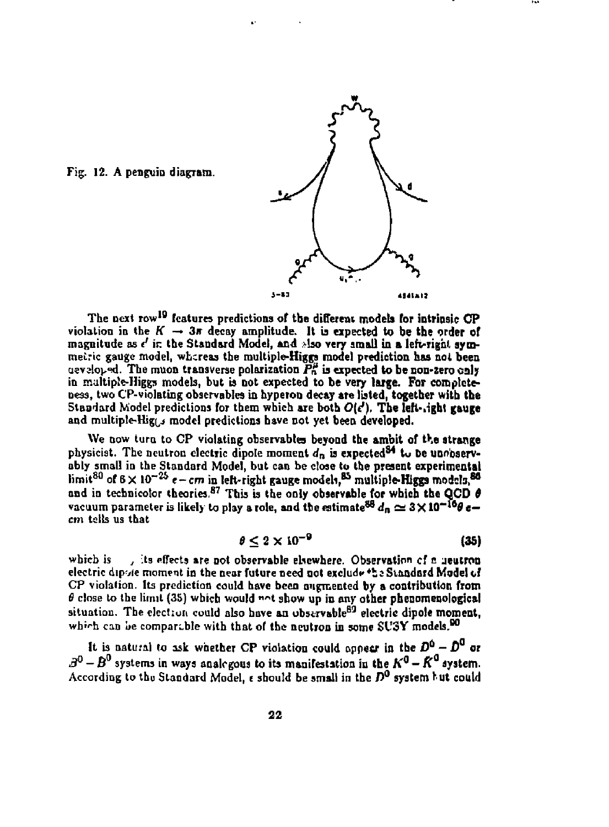

Fig. 12. A penguin diagram.

**The next row<sup>1</sup> " features predictions of the different models for intrinsic CP**  violation in the  $K \rightarrow 3\pi$  decay amplitude. It is expected to be the order of magnitude as  $\epsilon'$  in the Standard Model, and *\*lso very small in a left-right sym***metric gauge model, whereas the multiple-Higgs model prediction has not been**   $u = \sqrt{2\pi}$ . The muon transverse polarization  $P_n^{\mu}$  is expected to be non-zero caly in maltiple-Higgs models, but is not expected to be very large. For complete**ness, two CP-violating observables in hyperon decay are listed, together with the Standard Model predictions for them which are both** *0[t?),* **The lefi-.ighl gauge**  and multiple-Hig<sub>15</sub> model predictions have not yet been developed.

**We now turn to CP violating observabtes beyond the ambit of the strange**  physicist. The neutron electric dipole moment  $d_n$  is expected<sup>34</sup> to De unobserv**obly small in the Standard Model, but can be close to the present experimental**  limit<sup>80</sup> of 6  $\times$  10<sup>-25</sup>  $\epsilon$  – cm in left-right gauge models,<sup>85</sup> multiple-Higgs models,<sup>86</sup> and in technicolor theories.<sup>87</sup> This is the only observable for which the QCD  $\theta$ **vacuum parameter is likely to play a role, and the estimate<sup>88</sup>**  $d_n \simeq 3 \times 10^{-16}$ **0 e–** *cm* **tails us that** 

$$
\theta \leq 2 \times 10^{-9} \tag{35}
$$

**wbicb is** *j* **its Affects are not observable elsewhere. Observation** *c!* **o jeutron electric dip vie moment in the near future need not exclude \*ii Standard Model of CP violation. Its prediction could have been augmented by a contribution from**  *8* **close to the limit (35) which would " <sup>n</sup> t show up in any other pheoomenological situation. The election could also have an obsirvable<sup>80</sup> electric dipole moment,**  which can be comparable with that of the neutron in some  $SUSY$  models.<sup>00</sup>

It is natural to ask whether CP violation could oppear in the  $D^0 - D^0$  or  $3^0 - B^0$  systems in ways analogous to its manifestation in the  $K^0 - K^0$  system. **According to thu Standard Model, e should be small in the** *D°* **system Nt could**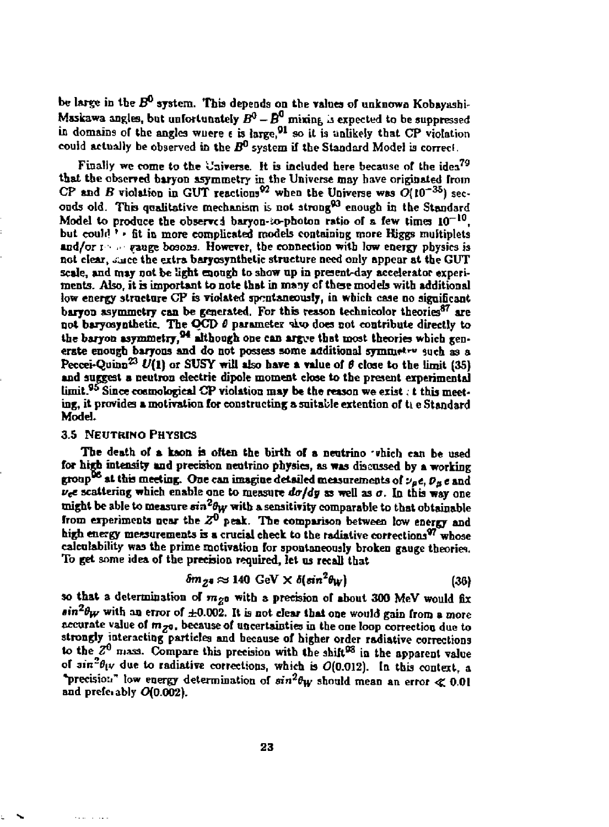be large in the  $B^0$  system. This depends on the values of unknown Kobayashi-Maskawa angles, but unfortunately  $B^0 - \overline{B}^0$  mixing is expected to be suppressed in domains of the angles wuere  $\epsilon$  is large,<sup>91</sup> so it is unlikely that CP violation **could actually be observed in the** *B°* **system if the Standard Model b correcl.** 

Finally we come to the Universe. It is included here because of the idea<sup>79</sup> that the observed baryon asymmetry in the Universe may have originated from CP and *B* violation in GUT reactions<sup>92</sup> when the Universe was  $O(10^{-35})$  seconds old. This qualitative mechanism is not strong<sup>93</sup> enough in the Standard **Model to produce the observed baryon-io-photon ratio of & few times 10\_ '°,**  but could<sup>3</sup> • fit in more complicated models containing more Higgs multiplets and/or  $\cdots$  • gauge bosons. However, the connection with low energy physics is **not clear, ouice the extra baryosynthetic structure need only appear at the GUT scale, and may not be light enough to 3how np in present-day accelerator experi**ments. Also, it is important to note that in many of these models with additional **low energy structure CP is violated spontaneously, in which case no significant**  baryon asymmetry can be generated. For this reason technicolor theories<sup>87</sup> are **not baryosynthetie. The OCD** *6* **parameter ^bo does not contribute directly to the baryon asymmetry,<sup>94</sup> although one can argve that most theories which gen**erate enough baryons and do not possess some additional symmetry such as a **Peccei-Quinn<sup>33</sup>**  *U(l)* **or SUSY will also have a value of** *6* **close to the limit (35) and suggest a neutron electric dipole moment close to the present experimental**  UIN 195 Since costrol over 10 Probability may be the reason we exist, it this meet**ing, it provides a motivation for constructing a suitable extention of ti e Standard Model.** 

#### **3.5 NEUTRINO PHYSICS**

 $\sim$  100  $\mu$  m

The death of a kaon is often the birth of a neutrino which can be used **for high intensity and precision neutrino physics, as was discussed by a working group<sup>06</sup> at thb meeting. One can imagine detailed measurements of** *i><sup>f</sup> t, Pp e* **and**   $\nu_e e$  scattering which enable one to measure  $d\sigma/dy$  as well as  $\sigma$ . In this way one **might be able to measure** *sivfify* **with a sensitivity comparable to that obtainable from experiments near the** *Z°* **peak. The comparison between low energy and high energy measurements b a crucial check to the radiative corrections\*<sup>7</sup> whose calcotability was the prime motivation for spontaneously broken gauge theories. To get some idea of the precbion required, let us recall that** 

$$
\delta m_{Z^2} \approx 140 \text{ GeV} \times \delta (\sin^2 \theta_W) \tag{36}
$$

so that a determination of  $m_{Z^0}$  with a precision of about 300 MeV would fix  $sin^2\theta_W$  with an error of  $\pm 0.002$ . It is not clear that one would gain from a more **accurate value of** *trip,* **because of uncertainties in the one loop correction due to strongly interacting particles and because of higher order radiative corrections**  to the  $Z^0$  mass. Compare this precision with the shift<sup>98</sup> in the apparent value of  $\sin^2\theta_{\parallel}$  due to radiative corrections, which is  $O(0.012)$ . In this context, a **"precision" low energy determination of oin<sup>a</sup> ^ should mean an error <£ 0.01 and prcfci ably 0(0.002).**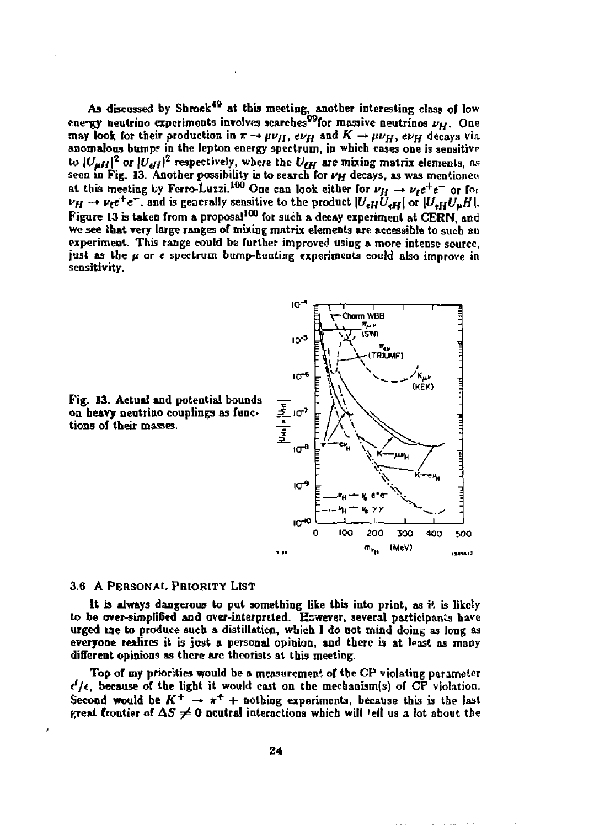As discussed by Shrock<sup>49</sup> at this meeting, another interesting class of low euergy neutrino experiments involves scarches<sup>09</sup> for massive neutrinos  $\nu_H$ . One **may look for their production in**  $\pi \rightarrow \mu \nu_H$ **, ev<sub>H</sub> and**  $K \rightarrow \mu \nu_H$ **, ev<sub>H</sub> decays via** anomalous bumps in the lepton energy spectrum, in which cases one is sensitive to  $|U_{\mu H}|^2$  or  $|U_{\rm eff}|^2$  respectively, where the  $U_{\rm eff}$  are mixing matrix elements, as **sees in Pig. 13. Another possibility ia to search for** *I>H* **decays, as was mentions**  at this meeting by Ferro-Luzzi.<sup>100</sup> One can look either for  $\nu_H \rightarrow \nu_I e^+ e^-$  or for  $\nu_H \rightarrow \nu_{\ell} e^+ e^-$ , and is generally sensitive to the product  $|U_{\epsilon H} U_{\epsilon H}|$  or  $|U_{\epsilon H} U_{\mu} H|$ . **Figure 13 is taken from a proposal'<sup>00</sup> for such a decay experiment at CERN, and**  We see that very large ranges of mixing matrix elements are accessible to such an **experiment. This range could be further improved using a more intense source,**  just as the  $\mu$  or  $\epsilon$  spectrum bump-hunting experiments could also improve in **sensitivity.** 



**Fig. 13. Actual and potential bounds on heavy neutrino couplings as functions of their masses.** 

#### **3.6 A PERSONAL PRIORITY LIST**

**It b always dangerous to put something like this into print, as it is likely to be over-simplified and over-interpreted. However, several participants have urged tae to produce such a distillation, which I do not mind doing as long as**  everyone realizes it is just a personal opinion, and there is at least as many **different opinions as there are theorists at this meeting.** 

**Top or my priorities would be a measurement of the CP violating parameter**  *t'/(,* **because of the light it would cast on the mecbanism(s) of CP violation.**  Second would be  $K^+ \rightarrow \pi^+ +$  nothing experiments, because this is the last great frontier of  $\Delta S \neq 0$  neutral interactions which will fell us a lot about the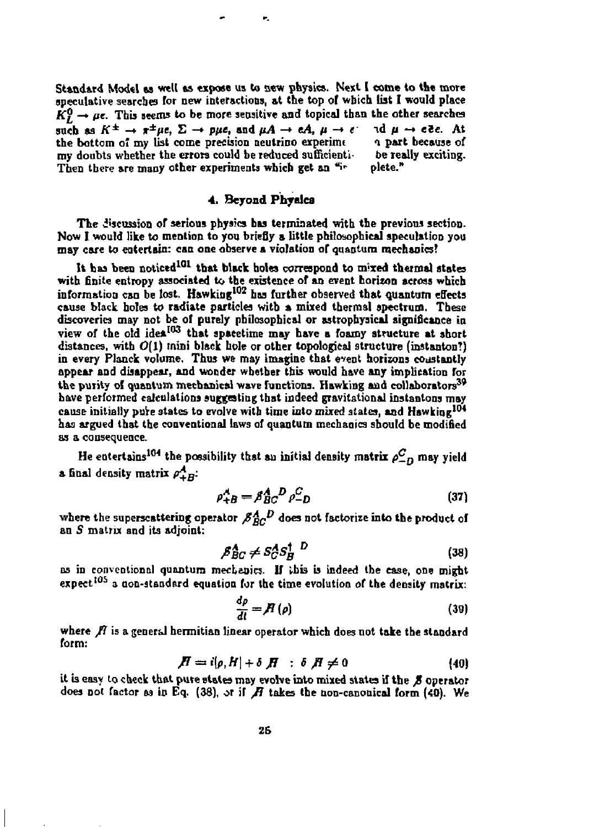Standard Model as well as expose us to new physics. Next I come to the more **speculative searches Tor new interactions, at the top of which list I would place**   $K_I^0 \rightarrow \mu$ e. This seems to be more sensitive and topical than the other searches such as  $K^{\pm} \rightarrow \pi^{\pm} \mu e$ ,  $\Sigma \rightarrow \rho \mu e$ , and  $\mu A \rightarrow eA$ ,  $\mu \rightarrow e^+$  id  $\mu \rightarrow e^+e^-$ . At the bottom of my list come precision neutrino experime a part because of **the bottom of my list come precision neutrino experimc** *n* **part because of**  my doubts whether the errors could be reduced sufficienti<sub>s</sub> be really exciting.<br>Then there are many other experiments which get an <sup>41</sup>r plete." Then there are many other experiments which get an "i-

e,

# *A.* **Beyond Physics**

The discussion of serious physics has terminated with the previous section. **Now I would like to mention to you briefly a little philosophical speculation you may care to entertain: can one observe a violation of quantum mechanics?** 

**It has been noticed<sup>101</sup> that black holes correspond to mixed thermal states with finite entropy associated to the existence of an event horizon across which information can be lost. Hawking<sup>102</sup> has further observed that quantum effects**  cause black holes to radiate particles with a mixed thermal spectrum. These **discoveries may not be of purely philosophical or astrophysics! significance in**  view of the old idea<sup>103</sup> that spacetime may have a foamy structure at short **distances, with 0(1) mini black hole or other topological structure (instanton!)**  in every Planck volume. Thus we may imagine that event horizons constantly **appear and disappear, and wonder whether this would have any implication for**  the purity of quantum mechanical wave functions. Hawking and collaborators<sup>39</sup> **have performed calculations suggesting that indeed gravitational instantons may cause initially pure states to evolve with time into mixed states, and Hawking<sup>104</sup> has argued that the conventional laws of quantum mechanics should be modified as a consequence.** 

He entertains<sup>184</sup> the possibility that au initial density matrix  $\rho_{-D}^C$  may yield **a** final density matrix  $\rho_{+B}^A$ :

$$
\rho_{+B}^A = \beta_{BC}^A D \rho_{-D}^C \tag{37}
$$

where the superscattering operator  $\beta_{BC}^A{}^D$  does not factorize into the product of **an 5 matrix and its adjoint:** 

$$
\beta_{BC}^A \neq S_C^A S_B^{\dagger} \quad \Box \tag{38}
$$

**as in conventional quantum mechanics. If this is indeed the case, one might**  expect<sup>105</sup> a non-standard equation for the time evolution of the density matrix:

$$
\frac{d\rho}{dt} = \mathcal{H}\left(\rho\right) \tag{39}
$$

where  $\boldsymbol{\beta}$  is a general hermitian linear operator which does not take the standard **form:** 

$$
\mathbf{\Pi} = i[\rho, H] + \delta \mathbf{\Pi} \quad : \delta \mathbf{\Pi} \neq 0 \tag{40}
$$

**it is easy to check that pure states may evolve into mixed states if the** *JS* **operator does not factor as in Eq. (38), or if** *fl* **takes the non-canonical form (40). We**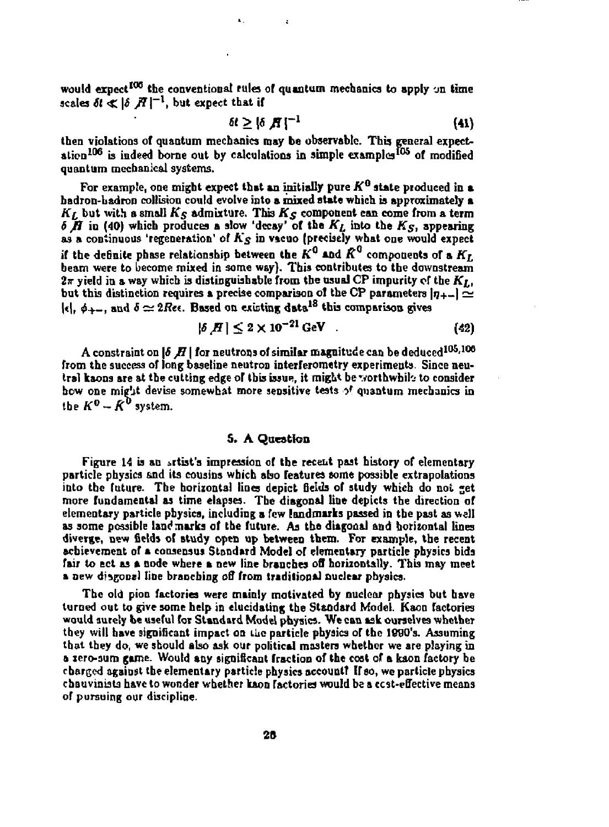would expect<sup>100</sup> the conventional rules of quantum mechanics to apply on time scales  $\delta t \ll |\delta| \tilde{H}|^{-1}$ , but expect that if

$$
\delta t \geq \left\{ \delta \, \mathbf{H} \right\}^{-1} \tag{41}
$$

**then violations of quantum mechanics may be observable. This general expect**ation<sup>106</sup> is indeed borne out by calculations in simple examples<sup>105</sup> of modified **quantum mechanical systems.** 

**For example, one might expect that an initially pure** *K°* **state pioduced in a badron-hadron collision could evolve into a mixed state which is approximately a**  $K_L$  but with a small  $K_S$  admixture. This  $K_S$  component can come from a term *6 fi* **in (40) which produces a slow 'decay' of the** *Ki* **into the** *Kg,* **appearing as a continuous 'regeneration' of** *K§* **' <sup>n</sup> vacuo (precisely what one would expect**  if the definite phase relationship between the  $K^0$  and  $\bar{K}^0$  components of a  $K_L$ **beam were to become mixed in some way). This contributes to the downstream**   $2\pi$  yield in a way which is distinguishable from the usual CP impurity of the  $K_{I,j}$ but this distinction requires a precise comparison of the CP parameters  $|\eta_{+-}| \simeq$  $|\epsilon|$ ,  $\phi_{++}$ , and  $\delta \simeq 2Re\epsilon$ . Based on existing data<sup>18</sup> this comparison gives

$$
|\delta[H]|\leq 2\times 10^{-21}\,\text{GeV} \tag{42}
$$

**A** constraint on  $\bm{\delta}$   $\bm{H}$  | for neutrons of similar magnitude can be deduced  $^{105,106}$ from the success of long baseline neutron interferometry experiments. Since neu**tral kaons are at the cutting edge of this issue, it might be'vorthwbil'j to consider how one mif'jt devise somewhat more sensitive tests** *"><sup>f</sup>*  **quantum mechanics in**  the  $K^0 - \hat{K}^0$  system.

#### **S. A Question**

Figure 14 is an artist's impression of the recent past history of elementary **particle physics &nd its cousins which abo features some possible extrapolations**  into the future. The horizontal lines depict fields of study which do not get **more fundamental as time elapses. Tbe diagonal line depicts the direction of elementary particle physics, including a few landmarks passed in tbe past as well as some possible landmarks of the future. As the diagonal and horizontal lines diverge, new fields of study open up between them. For example, tbe recent achievement of a consensus Standard Model or elementary particle physics bids fair to act as a node where a new line branches off horizontally. This may meet a new disgooel line branching off from traditional nuclear physics.** 

**The old pion factories were mainly motivated by nuclear physics but have turned out to give some help in elucidating the Standard Model. Kaon factories would surety be useful for Standard Model physics. We can ask ourselves whether they will have significant impact on ilic particle physics of the IQQO's. Assuming that they do, we should also ask our political masters whether we are playing in a lero-sum game. Would any significant fraction of the cost of a kaon factory be charged agaiogt the elementary particle physics account? If so, we particle physics chauvinists have to wonder whether kaon factories would be a ccst-effective means of pursuing our discipline.**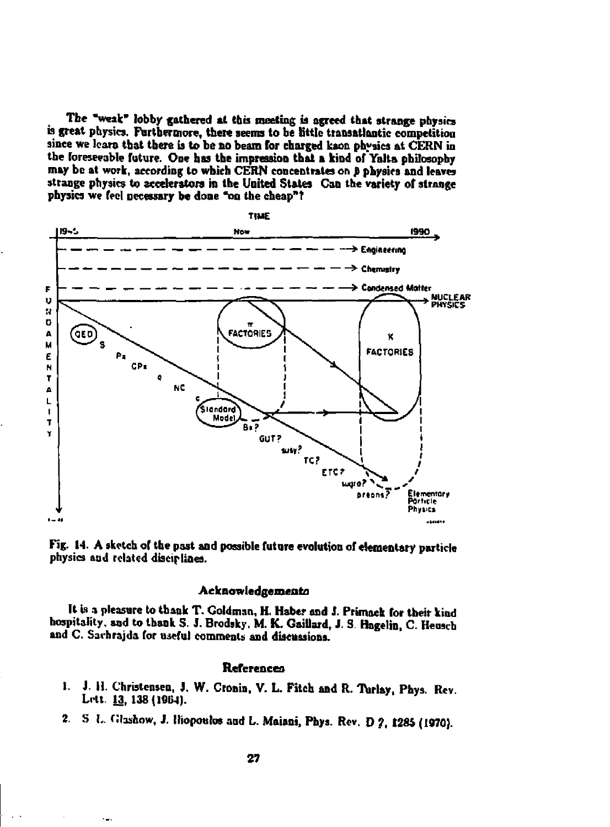**The "weak" lobby gathered at this meeting is agreed that strange physics is great physics. Furthermore, there seems to he little transatlantic competition since we leant that there is to be no beam for charged kaon physics at CERN in the foreseeable future. One has the impression that a kind of Yalta philosophy may be at work, according to which CERN concentrates on** *p* **physics and leaves strange physics to accelerators in the United States Can the variety of strange physics we feel necessary be done "on the cheap" t** 



Fig. 14. A sketch of the past and possible future evolution of elementary particle **physics and related disciplines.** 

#### **Acknowledgements**

It is a pleasure to thank T. Goldman, H. Haber and J. Primack for their kind **hospitality, and to thank S. J. Brodsky. M. K. Gaillard, J, S Hagelin, C. Heuscb and C. Sachr&jda for useful comments and discussions.** 

#### **References**

- 1. J. H. Christensen, J. W. Cronin, V. L. Fitch and R. Turlay, Phys. Rev. Lett. 13, 138 (1964).
- *2.* **5 L Clashow, J. Iliopoutos and L. Maiani, Phys. Rev. D ?, 1285 (1970).**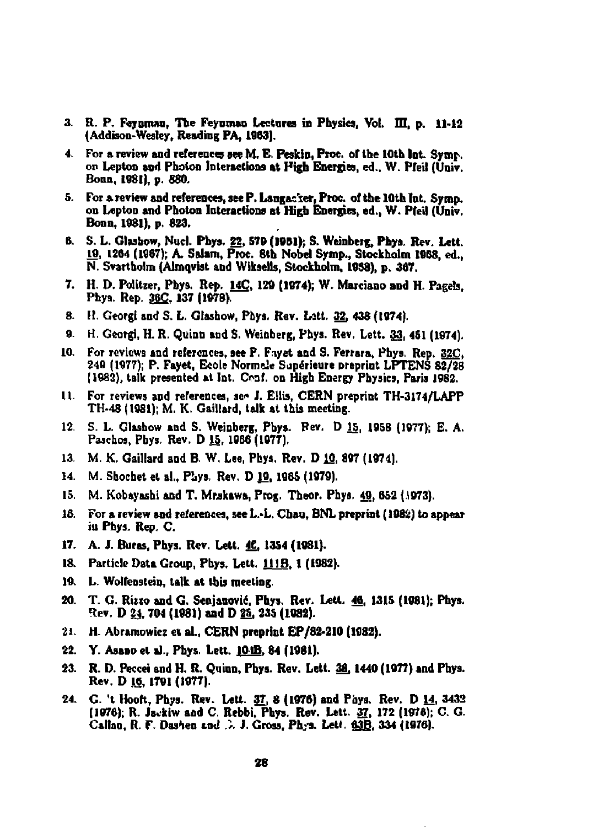- **3. R. P. Feyorwu, The Feyumao Lectures in Physics, Vol. Ill, p. 11-12 (Addison-Wesley, Reading PA, 1963).**
- 4. For a review and references see M. E. Peskin, Proc. of the 10th Int. Symp. **on Lepton and Photon Interactions at High Energies, ed.. W. Pfeil (Univ. Bonn, 1081), p. 680.**
- 5. For a review and references, see P. Langac'ter, Proc. of the 10th Int. Symp. **on Lepton and Photon Interactions at High Energies, ed., W. Pfeil (Univ. Bona, 1981), p. 823.**
- **6. S. L. Glasbow, Nucl. Phys. 22, 579 (1901); S. Weinberg, Phys. Rev. Lett. 10, 1264 (1967); A. Salam, Proc. 8th Nobel Symp., Stockholm 1968, ed., N. Svartholm (Almqvist and Wikselb, Stockholm, 1958), p. 367.**
- **7. H. D. Polttzer, Pbys. Rep. 14C, 120 (1974); W. Marciano and H. Pagefa, Phya. Rep. 36£, 137 (1978).**
- **8. it. Ceorgi and S. L. Gtashow, Pbys. Rev. Lstt. 32, 438 (1974).**
- **9. H. Georgi, H. R. Quint] and S. Weinberg, Phys. Rev. Lett. 33, 451 (1974).**
- **10. For reviews and references, see P. F.ayet and S. Ferrara, Phys, Rep. 32C. 240 (1977); P. Fayet, Ecole Norm tie Superieure preprint LPTENS 82/28 (1982), talk presented at Int. Oaf. on High Energy Physics, Paris 19S2.**
- **U. For reviews and references, se« J. Ellis, CERN preprint TH-3174/LAPP TH-48 (1981); M. K. Gaillard, talk at this meeting.**
- **12. S. L. Glashow and S. Weinberg, Pbys. Rev. D IS, 1958 (1977); E. A. Pascbos, Pbys. Rev. D 15, 1066 (1077).**
- **13. M. K. Gaillard and B. W. Lee, Phys. Rev. D10, 897 (1974).**
- 14. M. Shochet et al., Phys. Rev. D 19, 1985 (1979).
- 15. M. Kobayashi and T. Mrskawa, Prog. Theor. Phys. 49, 652 (1973).
- **16. For a review and references, see L.-L. Cbau, BNL preprist (1982) to appear iu Phys. Rep. C.**
- **17. A. J. Buras, Pbys. Rev. Lett. 4C, 1354 (1981).**
- **18. Particle Data Group, Pbys. Lett. UJB, 1 (1982).**
- 19. L. Wolfenstein, talk at this meeting.
- **20. T. G. Ruto and G. Senjanovic, Phys. Rev. Lett. 40, 1315 (1981); Phys. Rev. D 2J. 704 (1981) and D 2S, 235 (1982).**
- **21. H. Abramowicz et si., CERN preprint EP/82-210 (1982).**
- **22. Y. Asano et a)., Phys. Lett. 1P\_JB, 84 (1981).**
- **23. R. D. Peccei and H. R. Quran, Pbys. Rev. Lett. 38,1440 (1977) and Pbys. Rev. D IS, 1791 (1977).**
- **24. G. 't Hooft, Phys. Rev. Lett. 37, 8 (1976) and Fays. Rev. D 14, 3432 (1976); R. Jevkiw aad C. Rebbi, Phys. Rev. Lett. 37, 172 (1975); O. G.**  Callan, R. F. Dashen and D. J. Gross, Ph<sub>.'</sub>a. Lett. 63B, 334 (1976).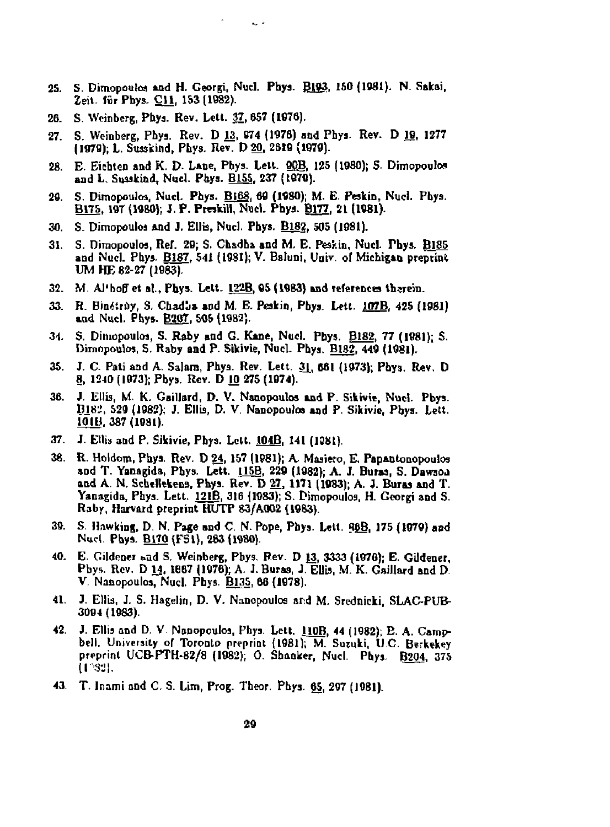**25. S. Dimopoulw \*nd H. Georgi, Nucl. Ptaya. Bjj», 150(1981). N. Sakai,**  *Ze\i.* **lur Pnys. CU, 153 (1982).** 

**College** 

 $\Delta \sim 10^{-11}$ 

- **26. S. Weinberg, Phya. Rev. Lett. 31, 657 (1076).**
- **27. S. Weinberg, Phys. Rev. D 13, 874 (1976) and Phys. Rev. D IS, 1277 (1970); L. Susskind, Phys. Rev. D 20, 2510 (1979).**
- **28. E. Eiehten and K. D. Lane, Pbya. Lett. OOB, 125 (1980); S. Dimopoulos**  and L. Susskind, Nucl. Phys. B155, 237 (1979).
- **20. S. Dimopoulos, Nucl. Phys. BI68, 60 (1980); M. B, Peakin, Nucl. Pbya. B175. 19T (1980); J. P. Preskill, Nucl. Phya. Bl.77. 21 (1981).**
- **30. S. Dimopouloa And J. Ellis, Nucl. Phys. B182. 505 (1081).**
- 31. S. Dimopoulos, Ref. 29; S. Chadha and M. E. Peskin, Nucl. Pbys. B185 **and Nucl. Phys. B187. 541 (1981); V. Baluni, Uaiv. of Michigan preprint UM HE 82-27 (1983).**
- **32. M. Al'hoff et al, Phys. Lett. 122B, 95 (1983) and reference therein.**
- **33. R. Bin«ruy, S. Cbadj\* aod M. B. Pcakin, Phys. Lett. 107B. 425 (1981)**  and Nucl. Phys. **B207**, 505<sup>{1982}</sup>.
- **34. S. Diniopouloa, S, Raby and G. Kane, Nucl. Pbys. B1S2. 77 (1981); S. Dimopoulos, S. Raby and P. Sikivie, Nucl. Phya. B182, 449 (1981).**
- **35. J. C. Pati and A. Salam, Phya. Rev. Lett. 3\_L 661 (1973); Phys, Rev. D 8, 1240 [1973}; Pbys. Rev. D 10 275 (1074).**
- **36.** *J* **Ellis, M. K. Gaillard, D. V. Naaopoulos and P. Sikivie, Nucl. Pbys. ni8i, S29 (1082); J. Ellis, D. V. Nanopoulos and P. Sikivie, Pbys. Lett. 10JB, 387(1081).**
- **37. J. Ellis and P. Sikivie, Phya. Lett. 104B, 141 (1381).**
- **38. R. Holdom, Phys. Rev. D 24, 157 (1981); A Maaiero, E. Papanlonopoulos and T. Yanagida, Pbys. Lett. 115B, 229 (1982); A. J. Bursa, S. Dawaoj**  and A. N. Schellekens, Phys. Rev. D 27, 1171 (1983); A. J. Buras and T. **Yanagida, Phya. Lett. 121B. 316 (1983); S. Dimopouloa. H. Ccorgi and S. Raby, Harvard preprint HUTP 83/A.0O2 (1983).**
- **39. S. Hawking, D. N. Page and C. N. Pope, Pbys. Lett. <J8\_B, 175 (1979) and**  Nucl. Phys. **B170** (FS1), 283 (1980).
- **40. E. Cildener "ad S. Weinberg, Pbys, Rev. D 13, 3333 (1070); E. Gildener, Pbys. Rev. D 14.1B67 (1976); A. J. Buraa, J. Ellis. M. K. Gaillard and D. V, Nanopouloa, Nucl, Phys. B135, 88 (1978).**
- **41. J. Ellia, J. S. Hagelin, D. V. Nanopoulos and M. Srednicki, SLAC-PUB-3004(1083).**
- **42. J. Ellis and D. V Nanopouloa. Phya. Lett. 110B. 44 (1082); B. A. Campbell. University of Toronto preprint (1981); M. Sumki, UC. Berkekey preprint UCB-PTH-82/8 (1982); 0. Sbanker, Nvicl. Phys, B204. 375 (P.\*!).**
- **43. T. Inami and C. S. Lim, Prog. Theor. Phys. 65, 297 (1981).**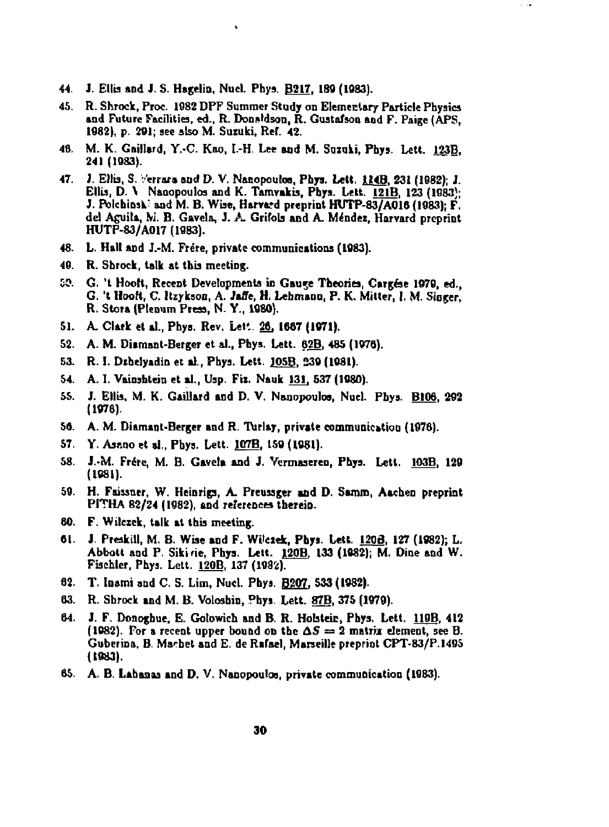44. J. Ellis and J. S. Hagelin, Nucl. Phys. **B217**, 189 (1983).

 $\bullet$ 

45. R. Shrock, Proc. 1982 DPF Summer Study on Elementary Particle Phyaica and Future Facilities, ed., R. Donaldson, R. Gustafson and F. Paige (APS, 1982), p. 201; see also M. Suzuki, Ref. 42.

 $\sim$  100

- 48. M. K. Gaillard, Y.-C. Kao, I.-H Lee and M. Suzuki, Phys. Lett. 123B, 241 (1083).
- 47. J. Ellis, S. Verrara and D. V. Nanopoulos, Phys. Lett. 334B, 231 (1982); J. Ellis, D. \ Nanopoulos and K. Tamvakis, Phys. Lett. 12IB. 123 (1083); J. Polchiosk' and M. B. Wise, Harvard preprint HUTP-83/AQ16 (1983); F. del Aguita, M. B. Gavela, J. A. Grifols and A. Mender, Harvard preprint HUTP-83/A017 (1983).
- 48. L. Hall and J.-M. Frere, private communications (1083).
- 49. R. Shrock, talk at this meeting.
- £0. G. 't Hoott, Recent Developments in Gau^e Theories, Cargfee 1079, ed., G. 't Hooft, C. Itzykson, A. Jaffe, H. Lehman a, P. K. Milter, I. M. Singer, R. Stora (Plenum Press, N. Y., 1080).
- 51. A. Clark et al., Phys. Rev. Lett. 26, 1667 (1971).
- 52. A. M. Diamant-Berger et al., Phys. Lett. 62B, 485 (1076).
- 53. R. I. Dihelyadin et al., Phys. Lett. 105B. 230 (1081).
- 54. A. I. Vainsbtein et al., Usp. Fix. Nauk 131, 537 (1080).
- 55. J. Ellis, M. K. Gaillard and D. V. Nanopouloa, Nucl. Pbys. BIOS. 202 (1078).
- 56. A. M. Diamant-Berger and R. Turlay, private communication (1976).
- 57. Y. Asano et al., Phys. Lett. 107B. 159 (1081).
- 58. J.-M. Frére, M. B. Gavela and J. Vermaseren, Phys. Lett. 103B, 129 (1681).
- 59. H. Faissner, W. Heinrigs, A. Preussger **and** D. Sanun, Aachen preprint PITHA 82/24 (1982), and references therein.
- GO. F. Wilczek, talk at this meeting.
- 01. J. Preskill, M. B. Wise and F. Wttciek, Phys. Lett. 1208, 127 (1082); L. Abbott and P. Sikirie, Phys. Lett. 120B. 133 (1082); M. Dine and W. Fischler, Phys. Lett. 120B. 137 (1082).
- 62. T. loami and C. 5. Lim, Nucl. Phys. Bg07. S33 (1082).
- 03. R. Shrock and M. B. Volosbin, Phys. Lett. 87B, 375 (1979).
- 64. J. F. Donogbue, E. Golowich and B. R. Holstein, Phys. Lett. 119B, 412 (1082). For a recent upper bound on the  $\Delta S = 2$  matrix element, see B. Guberina, B. Machet and E. de Rafael, Marseille preprint CPT-83/P.1495 (1883).
- 65. A. B. Lahanaa and D. V. Nanopouloa, private communication (1983).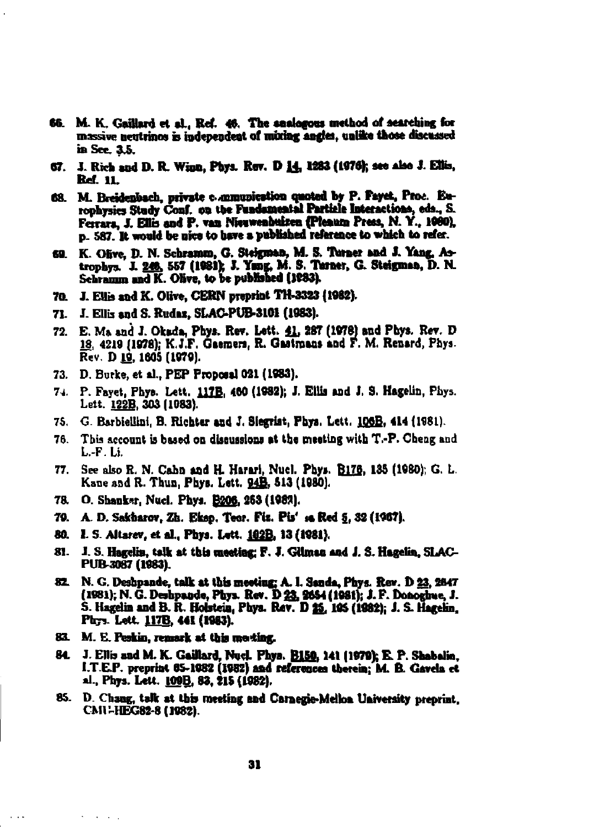- 66. M. K. Gaillard et al., Ref. 46. The analogous method of searching for massive neutrinos is independent of mixing angles, unlike those discussed in Sec. 3.5.
- 67. J. Rich and D. R. Winn, Phys. Rev. D 14, 1283 (1976); see also J. Ellis, **Ref. 11.**
- 68. M. Breidenbach, private communication quoted by P. Fayet, Proc. Europhysics Study Conf. on the Fundamental Particle Interactions, eds., S. Ferrara, J. Ellis and P. van Nieuwenbuizen (Pleaum Press, N. Y., 1080), p. 587. It would be nice to have a published reference to which to refer.
- 69. K. Olive, D. N. Schramm, G. Steigman, M. S. Turner and J. Yang, Astrophys. J. 249, 557 (1981); J. Yang, M. S. Tarner, G. Steigman, D. N. Schramm and K. Olive, to be published (1983).
- 70. J. Ellis and K. Olive, CERN preprint TH-3323 (1982).
- 71. J. Ellis and S. Rudaz, SLAC-PUB-3101 (1983).
- 72. E. Ma and J. Okada, Phys. Rev. Lett. 41, 287 (1978) and Phys. Rev. D 18, 4219 (1978); K.J.F. Gaemers, R. Gastmans and F. M. Renard, Phys. Rev. D 19, 1605 (1979).
- 73. D. Burke, et al., PEP Proposal 021 (1983).
- 74. P. Fayet, Phys. Lett. 117B, 460 (1982); J. Ellis and J. S. Hagelin, Phys. Lett. 122B, 303 (1083).
- 75. G. Barbiellini, B. Richter and J. Siegrist, Phys. Lett. 106B, 414 (1981).
- This account is based on discussions at the meeting with T.-P. Cheng and 76. L.-F. Li.
- 77. See also R. N. Cabn and H. Harari, Nucl. Phys. B176, 135 (1980); G. L. Kane and R. Thun, Phys. Lett. 94B, 513 (1980).
- 78. O. Shanker, Nucl. Phys. **B206**, 263 (1982).
- 79. A. D. Sakharov, Zh. Eksp. Teor. Fiz. Pis' 16 Red 5, 32 (1967).
- 80. I. S. Altarev, et al., Phys. Lett. <u>102B.</u> 13 (1981).
- 81. J. S. Hagelin, talk at this meeting; F. J. Gilman and J. S. Hagelin, SLAC-PUB 3087 (1983).
- 82. N. G. Deshpande, talk at this meeting: A. I. Sanda, Phys. Rev. D 23, 2847 (1981); N. G. Deshpande, Phys. Rev. D 23, 2654 (1981); J. F. Donoghue, J. S. Hagelin and B. R. Holstein, Phys. Rev. D 25, 105 (1982); J. S. Hagelin, Phys. Lett. 117B, 441 (1983).
- 83. M. E. Peskin, remark at this mosting.

 $\ldots$ 

- 84. J. Ellis and M. K. Gaillard, Nucl. Phys. B150, 141 (1979); E. P. Shabalin, I.T.E.P. preprint 65-1082 (1982) and references therein; M. B. Gavela et al., Phys. Lett. 109B, 83, 215 (1982).
- 85. D. Chang, talk at this meeting and Carnegie-Mellon University preprint. CMU-HEG82-8 (1982).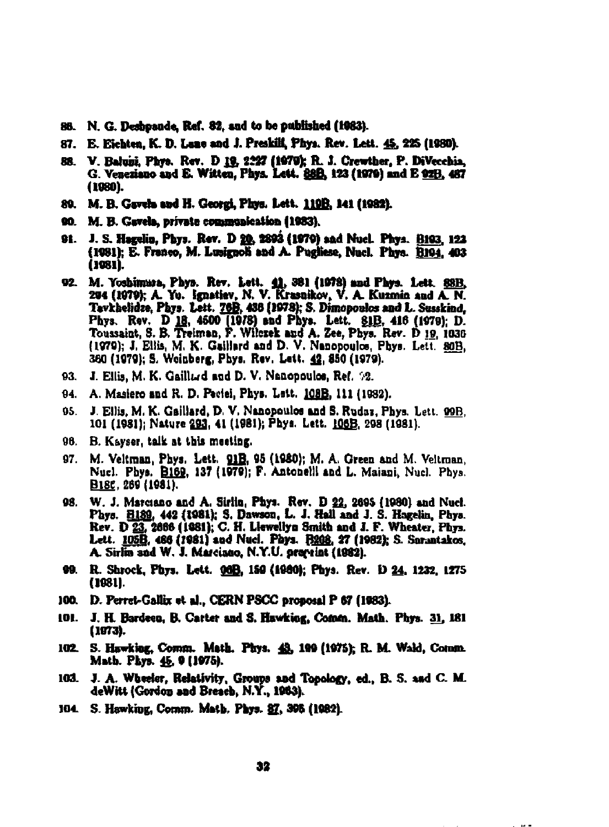- 88. N. G. Desbpande, Ref. 82, and to be published (1963).
- 87. E. Eichten, K. D. Lane and J. Preskill, Phys. Rev. Lett. 45, 225 (1980).
- 88. V. Baluisi, Phys. Rev. D 19, 2227 (1979); R. J. Crewther, P. DiVecchia, G. Veneziano and E. Witten, Phys. Lett. 88B, 123 (1979) and E 02B, 467 (1980).
- 89. M. B. Gavela and H. Georgi, Phys. Lett. 119B. 141 (1982).
- 90. M. B. Gavela, private communication (1983).
- 91. J. S. Hagelin, Phys. Rev. D 20, 2893 (1979) and Nucl. Phys. B193, 123 (1981); E. Franco, M. Lusignoli and A. Pugliese, Nucl. Phys. B194, 403 (1981).
- 92. M. Yoshimura, Phys. Rev. Lett. 41, 381 (1978) and Phys. Lett. 88B. 204 (1979); A. Yu. Ignatiev, N. V. Krasnikov, V. A. Kuzmin and A. N. Tavkhelidze, Phys. Lett. 76B, 438 (1978); S. Dimopoulos and L. Susskind, Phys. Rev. D 18, 4500 (1978) and Phys. Lett. 81B, 416 (1979); D. Toussaint, S. B. Treiman, F. Wilcrek and A. Zee, Phys. Rev. D 19, 1036 (1979); J. Ellis, M. K. Gaillard and D. V. Nanopoulos, Phys. Lett. 80B. 380 (1979); S. Weinberg, Phys. Rev. Lett. 42, 850 (1979).
- 93. J. Ellis, M. K. Gaill $\omega$ d and D. V. Nanopoulos, Ref. 92.
- 94. A. Masiero and R. D. Peciei, Phys. Lett. 108B, 111 (1982).
- 95. J. Ellis, M. K. Gaillard, D. V. Nanopoulos and S. Rudaz, Phys. Lett. 99B. 101 (1981); Nature 293, 41 (1981); Phys. Lett. 106B, 298 (1981).
- 96. B. Kayser, talk at this meeting.
- 97. M. Veltman, Phys. Lett. 91B, 95 (1980); M. A. Green and M. Veltman, Nucl. Phys. B169, 137 (1979); F. Antonelli and L. Maiani, Nucl. Phys. B18C, 269 (1981).
- 98. W. J. Marciano and A. Sirlin, Phys. Rev. D 22, 2695 (1980) and Nucl. Phys. E189, 442 (1981); S. Dawson, L. J. Hall and J. S. Hagelin, Phys. Rev. D 23, 2666 (1981); C. H. Llewellyn Smith and J. F. Wheater, Phys. Lett. 105B, 486 (1981) and Nucl. Phys. 1308, 27 (1982); S. Sarantakos, A. Sirlin sad W. J. Marcisao, N.Y.U. pravint (1982).
- 99. R. Shrock, Phys. Lett. 000, 150 (1980); Phys. Rev. D 24, 1232, 1275 (1981).
- 100. D. Perret-Gallix et al., CERN PSCC proposal P 67 (1983).
- 101. J. H. Bardeen, B. Carter and S. Hawking, Comm. Math. Phys. 31, 181  $(1073)$ .
- 102. S. Hawking, Comm. Math. Phys. 43, 199 (1975); R. M. Wald, Comm. Math. Phys. 45, 9 (1975).
- 103. J. A. Wheeler, Relativity, Groups and Topology, ed., B. S. and C. M. deWitt (Gordon and Breach, N.Y., 1963).
- 104. S. Hawking, Comm. Math. Phys. 87, 398 (1982).